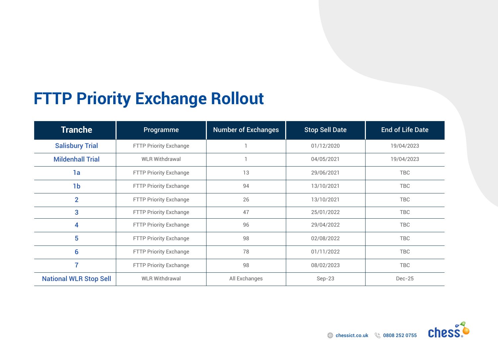# **FTTP Priority Exchange Rollout**

| <b>Tranche</b>                | Programme                     | <b>Number of Exchanges</b> | <b>Stop Sell Date</b> | <b>End of Life Date</b> |
|-------------------------------|-------------------------------|----------------------------|-----------------------|-------------------------|
| <b>Salisbury Trial</b>        | FTTP Priority Exchange        |                            | 01/12/2020            | 19/04/2023              |
| <b>Mildenhall Trial</b>       | <b>WLR Withdrawal</b>         |                            | 04/05/2021            | 19/04/2023              |
| 1a                            | <b>FTTP Priority Exchange</b> | 13                         | 29/06/2021            | <b>TBC</b>              |
| 1 <sub>b</sub>                | FTTP Priority Exchange        |                            | 94<br>13/10/2021      |                         |
| $\overline{2}$                | FTTP Priority Exchange        | 26                         | 13/10/2021            | <b>TBC</b>              |
| 3                             | <b>FTTP Priority Exchange</b> | 47                         | 25/01/2022            | <b>TBC</b>              |
| 4                             | FTTP Priority Exchange        | 96                         | 29/04/2022            | <b>TBC</b>              |
| 5                             | FTTP Priority Exchange        | 98                         | 02/08/2022            | <b>TBC</b>              |
| 6                             | FTTP Priority Exchange        | 78                         | 01/11/2022            | <b>TBC</b>              |
| 7                             | <b>FTTP Priority Exchange</b> | 98                         | 08/02/2023            | <b>TBC</b>              |
| <b>National WLR Stop Sell</b> | <b>WLR Withdrawal</b>         | All Exchanges              | $Sep-23$              | $Dec-25$                |

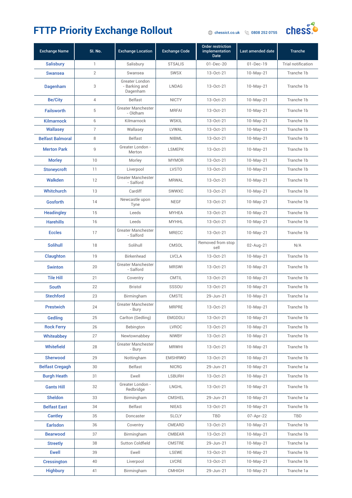

| <b>Exchange Name</b>    | SI. No.                   | <b>Exchange Location</b>                    | <b>Exchange Code</b> | <b>Order restriction</b><br>implementation<br><b>Date</b> | Last amended date | <b>Tranche</b>     |
|-------------------------|---------------------------|---------------------------------------------|----------------------|-----------------------------------------------------------|-------------------|--------------------|
| <b>Salisbury</b>        | 1                         | Salisbury                                   | <b>STSALIS</b>       | $01 - Dec - 20$                                           | $01 - Dec-19$     | Trial notification |
| <b>Swansea</b>          | $\overline{2}$            | Swansea                                     | <b>SWSX</b>          | 13-Oct-21                                                 | $10-May-21$       | Tranche 1b         |
| Dagenham                | 3                         | Greater London<br>- Barking and<br>Dagenham | <b>LNDAG</b>         | 13-Oct-21                                                 | $10-May-21$       | Tranche 1b         |
| <b>Be/City</b>          | $\overline{4}$            | <b>Belfast</b>                              | <b>NICTY</b>         | 13-Oct-21                                                 | $10-May-21$       | Tranche 1b         |
| <b>Failsworth</b>       | 5                         | Greater Manchester<br>- Oldham              | <b>MRFAI</b>         | 13-Oct-21                                                 | $10-May-21$       | Tranche 1b         |
| <b>Kilmarnock</b>       | 6                         | Kilmarnock                                  | <b>WSKIL</b>         | 13-Oct-21                                                 | $10-May-21$       | Tranche 1b         |
| <b>Wallasey</b>         | $\overline{\mathfrak{c}}$ | Wallasey                                    | LVWAL                | 13-Oct-21                                                 | $10-May-21$       | Tranche 1b         |
| <b>Belfast Balmoral</b> | 8                         | Belfast                                     | <b>NIBML</b>         | 13-Oct-21                                                 | $10-May-21$       | Tranche 1b         |
| <b>Merton Park</b>      | $\mathsf g$               | Greater London -<br>Merton                  | <b>LSMEPK</b>        | 13-Oct-21                                                 | $10-May-21$       | Tranche 1b         |
| <b>Morley</b>           | 10                        | Morley                                      | <b>MYMOR</b>         | 13-Oct-21                                                 | $10-May-21$       | Tranche 1b         |
| <b>Stoneycroft</b>      | 11                        | Liverpool                                   | <b>LVSTO</b>         | 13-Oct-21                                                 | $10-May-21$       | Tranche 1b         |
| Walkden                 | 12                        | <b>Greater Manchester</b><br>- Salford      | <b>MRWAL</b>         | 13-Oct-21                                                 | $10-May-21$       | Tranche 1b         |
| <b>Whitchurch</b>       | 13                        | Cardiff                                     | SWWXC                | 13-Oct-21                                                 | $10-May-21$       | Tranche 1b         |
| <b>Gosforth</b>         | 14                        | Newcastle upon<br>Tyne                      | <b>NEGF</b>          | 13-Oct-21                                                 | $10-May-21$       | Tranche 1b         |
| <b>Headingley</b>       | 15                        | Leeds                                       | <b>MYHEA</b>         | 13-Oct-21                                                 | $10-May-21$       | Tranche 1b         |
| <b>Harehills</b>        | 16                        | Leeds                                       | <b>MYHHL</b>         | 13-Oct-21                                                 | $10-May-21$       | Tranche 1b         |
| <b>Eccles</b>           | 17                        | <b>Greater Manchester</b><br>- Salford      | <b>MRECC</b>         | 13-Oct-21                                                 | $10-May-21$       | Tranche 1b         |
| <b>Solihull</b>         | 18                        | Solihull                                    | <b>CMSOL</b>         | Removed from stop<br>sell                                 | 02-Aug-21         | N/A                |
| Claughton               | 19                        | Birkenhead                                  | <b>LVCLA</b>         | 13-Oct-21                                                 | $10-May-21$       | Tranche 1b         |
| <b>Swinton</b>          | 20                        | <b>Greater Manchester</b><br>- Salford      | <b>MRSWI</b>         | 13-Oct-21                                                 | $10-May-21$       | Tranche 1b         |
| <b>Tile Hill</b>        | 21                        | Coventry                                    | <b>CMTIL</b>         | 13-Oct-21                                                 | $10-May-21$       | Tranche 1b         |
| <b>South</b>            | 22                        | <b>Bristol</b>                              | SSSOU                | 13-Oct-21                                                 | $10-May-21$       | Tranche 1b         |
| <b>Stechford</b>        | 23                        | Birmingham                                  | <b>CMSTE</b>         | 29-Jun-21                                                 | $10-May-21$       | Tranche 1a         |
| <b>Prestwich</b>        | 24                        | Greater Manchester<br>- Bury                | <b>MRPRE</b>         | 13-Oct-21                                                 | 10-May-21         | Tranche 1b         |
| <b>Gedling</b>          | 25                        | Carlton (Gedling)                           | <b>EMGDDLI</b>       | 13-Oct-21                                                 | $10-May-21$       | Tranche 1b         |
| <b>Rock Ferry</b>       | 26                        | Bebington                                   | <b>LVROC</b>         | 13-Oct-21                                                 | $10-May-21$       | Tranche 1b         |
| Whiteabbey              | 27                        | Newtownabbey                                | <b>NIWBY</b>         | 13-Oct-21                                                 | $10-May-21$       | Tranche 1b         |
| <b>Whitefield</b>       | 28                        | <b>Greater Manchester</b><br>- Bury         | <b>MRWHI</b>         | 13-Oct-21                                                 | $10-May-21$       | Tranche 1b         |
| Sherwood                | 29                        | Nottingham                                  | <b>EMSHRWO</b>       | 13-Oct-21                                                 | $10-May-21$       | Tranche 1b         |
| <b>Belfast Cregagh</b>  | 30                        | Belfast                                     | <b>NICRG</b>         | 29-Jun-21                                                 | $10-May-21$       | Tranche 1a         |
| <b>Burgh Heath</b>      | 31                        | Ewell                                       | <b>LSBURH</b>        | 13-Oct-21                                                 | $10-May-21$       | Tranche 1b         |
| <b>Gants Hill</b>       | 32                        | Greater London -<br>Redbridge               | LNGHL                | 13-Oct-21                                                 | $10-May-21$       | Tranche 1b         |
| <b>Sheldon</b>          | 33                        | Birmingham                                  | <b>CMSHEL</b>        | 29-Jun-21                                                 | $10-May-21$       | Tranche 1a         |
| <b>Belfast East</b>     | 34                        | Belfast                                     | <b>NIEAS</b>         | 13-Oct-21                                                 | $10-May-21$       | Tranche 1b         |
| <b>Cantley</b>          | 35                        | Doncaster                                   | <b>SLCLY</b>         | <b>TBD</b>                                                | 07-Apr-22         | <b>TBD</b>         |
| <b>Earlsdon</b>         | 36                        | Coventry                                    | CMEARD               | 13-Oct-21                                                 | $10-May-21$       | Tranche 1b         |
| <b>Bearwood</b>         | 37                        | Birmingham                                  | CMBEAR               | 13-Oct-21                                                 | $10-May-21$       | Tranche 1b         |
| <b>Streetly</b>         | 38                        | Sutton Coldfield                            | CMSTRE               | 29-Jun-21                                                 | $10-May-21$       | Tranche 1a         |
| <b>Ewell</b>            | 39                        | Ewell                                       | LSEWE                | 13-Oct-21                                                 | $10-May-21$       | Tranche 1b         |
| <b>Cressington</b>      | 40                        | Liverpool                                   | LVCRE                | 13-Oct-21                                                 | $10-May-21$       | Tranche 1b         |
| <b>Highbury</b>         | 41                        | Birmingham                                  | <b>CMHIGH</b>        | 29-Jun-21                                                 | $10-May-21$       | Tranche 1a         |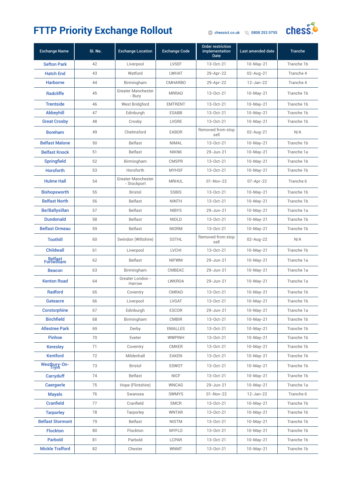#### FTTP Priority Exchange Rollout **Change Rollout**



| <b>Exchange Name</b>    | SI. No. | <b>Exchange Location</b>            | <b>Exchange Code</b> | <b>Order restriction</b><br>implementation<br><b>Date</b> | Last amended date | <b>Tranche</b> |
|-------------------------|---------|-------------------------------------|----------------------|-----------------------------------------------------------|-------------------|----------------|
| <b>Sefton Park</b>      | 42      | Liverpool                           | <b>LVSEF</b>         | $13 - Oct - 21$                                           | $10-May-21$       | Tranche 1b     |
| <b>Hatch End</b>        | 43      | Watford                             | <b>LWHAT</b>         | 29-Apr-22                                                 | $02$ -Aug-21      | Tranche 4      |
| <b>Harborne</b>         | 44      | Birmingham                          | <b>CMHARBO</b>       | 29-Apr-22                                                 | 12-Jan-22         | Tranche 4      |
| Radcliffe               | 45      | <b>Greater Manchester</b><br>- Bury | <b>MRRAD</b>         | $13 - Oct - 21$                                           | $10-May-21$       | Tranche 1b     |
| <b>Trentside</b>        | 46      | West Bridgford                      | <b>EMTRENT</b>       | 13-Oct-21                                                 | $10-May-21$       | Tranche 1b     |
| <b>Abbeyhill</b>        | 47      | Edinburgh                           | <b>ESABB</b>         | 13-Oct-21                                                 | $10-May-21$       | Tranche 1b     |
| <b>Great Crosby</b>     | 48      | Crosby                              | LVGRE                | $13 - Oct - 21$                                           | $10-May-21$       | Tranche 1b     |
| <b>Boreham</b>          | 49      | Chelmsford                          | <b>EABOR</b>         | Removed from stop<br>sell                                 | 02-Aug-21         | N/A            |
| <b>Belfast Malone</b>   | 50      | <b>Belfast</b>                      | <b>NIMAL</b>         | $13 - Oct - 21$                                           | $10-May-21$       | Tranche 1b     |
| <b>Belfast Knock</b>    | 51      | Belfast                             | <b>NIKNK</b>         | 29-Jun-21                                                 | $10-May-21$       | Tranche 1a     |
| <b>Springfield</b>      | 52      | Birmingham                          | <b>CMSPR</b>         | 13-Oct-21                                                 | $10-May-21$       | Tranche 1b     |
| <b>Horsforth</b>        | 53      | Horsforth                           | <b>MYHSF</b>         | 13-Oct-21                                                 | $10-May-21$       | Tranche 1b     |
| <b>Hulme Hall</b>       | 54      | Greater Manchester<br>- Stockport   | <b>MRHUL</b>         | $01 - Nov-22$                                             | 07-Apr-22         | Tranche 6      |
| <b>Bishopsworth</b>     | 55      | <b>Bristol</b>                      | <b>SSBIS</b>         | $13 - Oct - 21$                                           | $10-May-21$       | Tranche 1b     |
| <b>Belfast North</b>    | 56      | <b>Belfast</b>                      | <b>NINTH</b>         | 13-Oct-21                                                 | $10-May-21$       | Tranche 1b     |
| <b>Be/Ballysillan</b>   | 57      | Belfast                             | <b>NIBYS</b>         | 29-Jun-21                                                 | $10-May-21$       | Tranche 1a     |
| <b>Dundonald</b>        | 58      | <b>Belfast</b>                      | <b>NIDLD</b>         | 13-Oct-21                                                 | $10-May-21$       | Tranche 1b     |
| <b>Belfast Ormeau</b>   | 59      | <b>Belfast</b>                      | <b>NIORM</b>         | $13 - Oct - 21$                                           | $10-May-21$       | Tranche 1b     |
| <b>Toothill</b>         | 60      | Swindon (Wiltshire)                 | <b>SSTHL</b>         | Removed from stop<br>sell                                 | 02-Aug-22         | N/A            |
| <b>Childwall</b>        | 61      | Liverpool                           | <b>LVCHI</b>         | $13 - Oct - 21$                                           | $10-May-21$       | Tranche 1b     |
| Belfast<br>Fortwilliam  | 62      | Belfast                             | <b>NIFWM</b>         | 29-Jun-21                                                 | $10-May-21$       | Tranche 1a     |
| <b>Beacon</b>           | 63      | Birmingham                          | <b>CMBEAC</b>        | 29-Jun-21                                                 | $10-May-21$       | Tranche 1a     |
| <b>Kenton Road</b>      | 64      | Greater London -<br>Harrow          | <b>LWKROA</b>        | 29-Jun-21                                                 | $10-May-21$       | Tranche 1a     |
| <b>Radford</b>          | 65      | Coventry                            | CMRAD                | $13 - Oct - 21$                                           | $10-May-21$       | Tranche 1b     |
| Gateacre                | 66      | Liverpool                           | LVGAT                | 13-Oct-21                                                 | $10-May-21$       | Tranche 1b     |
| <b>Corstorphine</b>     | 67      | Edinburgh                           | <b>ESCOR</b>         | 29-Jun-21                                                 | $10-May-21$       | Tranche 1a     |
| <b>Birchfield</b>       | 68      | Birmingham                          | <b>CMBIR</b>         | 13-Oct-21                                                 | $10-May-21$       | Tranche 1b     |
| <b>Allestree Park</b>   | 69      | Derby                               | <b>EMALLES</b>       | 13-Oct-21                                                 | $10-May-21$       | Tranche 1b     |
| <b>Pinhoe</b>           | 70      | Exeter                              | <b>WWPINH</b>        | 13-Oct-21                                                 | $10-May-21$       | Tranche 1b     |
| <b>Keresley</b>         | 71      | Coventry                            | <b>CMKER</b>         | 13-Oct-21                                                 | $10-May-21$       | Tranche 1b     |
| <b>Kentford</b>         | 72      | Mildenhall                          | EAKEN                | 13-Oct-21                                                 | $10-May-21$       | Tranche 1b     |
| Westbury-On-<br>Trym    | 73      | <b>Bristol</b>                      | SSWOT                | 13-Oct-21                                                 | $10-May-21$       | Tranche 1b     |
| Carryduff               | 74      | <b>Belfast</b>                      | <b>NICF</b>          | 13-Oct-21                                                 | $10-May-21$       | Tranche 1b     |
| <b>Caergwrle</b>        | 75      | Hope (Flintshire)                   | <b>WNCAG</b>         | 29-Jun-21                                                 | $10-May-21$       | Tranche 1a     |
| <b>Mayals</b>           | 76      | Swansea                             | <b>SWMYS</b>         | 01-Nov-22                                                 | 12-Jan-22         | Tranche 6      |
| <b>Cranfield</b>        | 77      | Cranfield                           | <b>SMCR</b>          | 13-Oct-21                                                 | $10-May-21$       | Tranche 1b     |
| <b>Tarporley</b>        | 78      | Tarporley                           | <b>WNTAR</b>         | 13-Oct-21                                                 | $10-May-21$       | Tranche 1b     |
| <b>Belfast Stormont</b> | 79      | Belfast                             | <b>NISTM</b>         | 13-Oct-21                                                 | $10-May-21$       | Tranche 1b     |
| Flockton                | 80      | Flockton                            | <b>MYFLO</b>         | 13-Oct-21                                                 | $10-May-21$       | Tranche 1b     |
| <b>Parbold</b>          | 81      | Parbold                             | LCPAR                | 13-Oct-21                                                 | $10-May-21$       | Tranche 1b     |
| <b>Mickle Trafford</b>  | 82      | Chester                             | <b>WNMT</b>          | 13-Oct-21                                                 | $10-May-21$       | Tranche 1b     |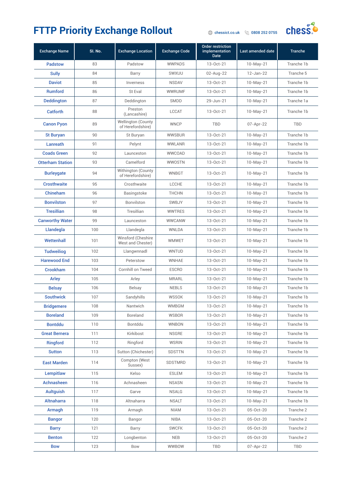

| <b>Exchange Name</b>    | SI. No. | <b>Exchange Location</b>                       | <b>Exchange Code</b> | <b>Order restriction</b><br>implementation<br><b>Date</b> | Last amended date | <b>Tranche</b> |
|-------------------------|---------|------------------------------------------------|----------------------|-----------------------------------------------------------|-------------------|----------------|
| <b>Padstow</b>          | 83      | Padstow                                        | <b>WWPADS</b>        | 13-Oct-21                                                 | $10-May-21$       | Tranche 1b     |
| <b>Sully</b>            | 84      | Barry                                          | SWXUU                | 02-Aug-22                                                 | 12-Jan-22         | Tranche 5      |
| <b>Daviot</b>           | 85      | Inverness                                      | <b>NSDAV</b>         | 13-Oct-21                                                 | $10-May-21$       | Tranche 1b     |
| <b>Rumford</b>          | 86      | St Eval                                        | <b>WWRUMF</b>        | 13-Oct-21                                                 | $10-May-21$       | Tranche 1b     |
| <b>Deddington</b>       | 87      | Deddington                                     | <b>SMDD</b>          | 29-Jun-21                                                 | $10-May-21$       | Tranche 1a     |
| <b>Catforth</b>         | 88      | Preston<br>(Lancashire)                        | <b>LCCAT</b>         | 13-Oct-21                                                 | $10-May-21$       | Tranche 1b     |
| <b>Canon Pyon</b>       | 89      | <b>Wellington (County</b><br>of Herefordshire) | <b>WNCP</b>          | <b>TBD</b>                                                | 07-Apr-22         | TBD            |
| <b>St Buryan</b>        | 90      | St Buryan                                      | <b>WWSBUR</b>        | 13-Oct-21                                                 | $10-May-21$       | Tranche 1b     |
| Lanreath                | 91      | Pelynt                                         | <b>WWLANR</b>        | 13-Oct-21                                                 | $10-May-21$       | Tranche 1b     |
| <b>Coads Green</b>      | 92      | Launceston                                     | WWCOAD               | 13-Oct-21                                                 | $10-May-21$       | Tranche 1b     |
| <b>Otterham Station</b> | 93      | Camelford                                      | WWOSTN               | 13-Oct-21                                                 | $10-May-21$       | Tranche 1b     |
| <b>Burleygate</b>       | 94      | Withington (County<br>of Herefordshire)        | WNBGT                | $13 - Oct - 21$                                           | $10-May-21$       | Tranche 1b     |
| <b>Crosthwaite</b>      | 95      | Crosthwaite                                    | LCCHE                | 13-Oct-21                                                 | $10-May-21$       | Tranche 1b     |
| Chineham                | 96      | Basingstoke                                    | <b>THCHN</b>         | 13-Oct-21                                                 | $10-May-21$       | Tranche 1b     |
| <b>Bonvilston</b>       | 97      | Bonvilston                                     | SWBJY                | $13 - Oct - 21$                                           | $10-May-21$       | Tranche 1b     |
| <b>Tresillian</b>       | 98      | Tresillian                                     | <b>WWTRES</b>        | $13 - Oct - 21$                                           | $10-May-21$       | Tranche 1b     |
| <b>Canworthy Water</b>  | 99      | Launceston                                     | <b>WWCANW</b>        | 13-Oct-21                                                 | $10-May-21$       | Tranche 1b     |
| Llandegla               | 100     | Llandegla                                      | WNLDA                | 13-Oct-21                                                 | $10-May-21$       | Tranche 1b     |
| Wettenhall              | 101     | Winsford (Cheshire<br>West and Chester)        | <b>WMWET</b>         | $13 - Oct - 21$                                           | $10-May-21$       | Tranche 1b     |
| <b>Tudweiliog</b>       | 102     | Llangwnnadl                                    | <b>WNTUD</b>         | 13-Oct-21                                                 | $10-May-21$       | Tranche 1b     |
| <b>Harewood End</b>     | 103     | Peterstow                                      | WNHAE                | 13-Oct-21                                                 | $10-May-21$       | Tranche 1b     |
| <b>Crookham</b>         | 104     | Cornhill on Tweed                              | <b>ESCRO</b>         | 13-Oct-21                                                 | $10-May-21$       | Tranche 1b     |
| <b>Arley</b>            | 105     | Arley                                          | <b>MRARL</b>         | $13 - Oct - 21$                                           | $10-May-21$       | Tranche 1b     |
| <b>Belsay</b>           | 106     | Belsay                                         | <b>NEBLS</b>         | 13-Oct-21                                                 | $10-May-21$       | Tranche 1b     |
| <b>Southwick</b>        | 107     | Sandyhills                                     | <b>WSSOK</b>         | 13-Oct-21                                                 | $10-May-21$       | Tranche 1b     |
| <b>Bridgemere</b>       | 108     | Nantwich                                       | WMBGM                | 13-Oct-21                                                 | 10-May-21         | Tranche 1b     |
| <b>Boreland</b>         | 109     | Boreland                                       | <b>WSBOR</b>         | 13-Oct-21                                                 | $10-May-21$       | Tranche 1b     |
| <b>Bontddu</b>          | 110     | Bontddu                                        | <b>WNBON</b>         | 13-Oct-21                                                 | $10-May-21$       | Tranche 1b     |
| <b>Great Bernera</b>    | 111     | Kirkibost                                      | <b>NSGRE</b>         | 13-Oct-21                                                 | $10-May-21$       | Tranche 1b     |
| <b>Ringford</b>         | 112     | Ringford                                       | <b>WSRIN</b>         | 13-Oct-21                                                 | $10-May-21$       | Tranche 1b     |
| <b>Sutton</b>           | 113     | Sutton (Chichester)                            | <b>SDSTTN</b>        | 13-Oct-21                                                 | $10-May-21$       | Tranche 1b     |
| <b>East Marden</b>      | 114     | Compton (West<br>Sussex)                       | SDSTMRD              | 13-Oct-21                                                 | $10-May-21$       | Tranche 1b     |
| Lempitlaw               | 115     | Kelso                                          | <b>ESLEM</b>         | 13-Oct-21                                                 | $10-May-21$       | Tranche 1b     |
| Achnasheen              | 116     | Achnasheen                                     | <b>NSASN</b>         | 13-Oct-21                                                 | $10-May-21$       | Tranche 1b     |
| <b>Aultguish</b>        | 117     | Garve                                          | <b>NSALG</b>         | 13-Oct-21                                                 | $10-May-21$       | Tranche 1b     |
| <b>Altnaharra</b>       | 118     | Altnaharra                                     | <b>NSALT</b>         | 13-Oct-21                                                 | $10-May-21$       | Tranche 1b     |
| Armagh                  | 119     | Armagh                                         | <b>NIAM</b>          | 13-Oct-21                                                 | 05-Oct-20         | Tranche 2      |
| <b>Bangor</b>           | 120     | Bangor                                         | <b>NIBA</b>          | 13-Oct-21                                                 | 05-Oct-20         | Tranche 2      |
| <b>Barry</b>            | 121     | Barry                                          | <b>SWCFK</b>         | 13-Oct-21                                                 | 05-Oct-20         | Tranche 2      |
| <b>Benton</b>           | 122     | Longbenton                                     | <b>NEB</b>           | 13-Oct-21                                                 | 05-Oct-20         | Tranche 2      |
| <b>Bow</b>              | 123     | Bow                                            | WWBOW                | TBD                                                       | 07-Apr-22         | TBD            |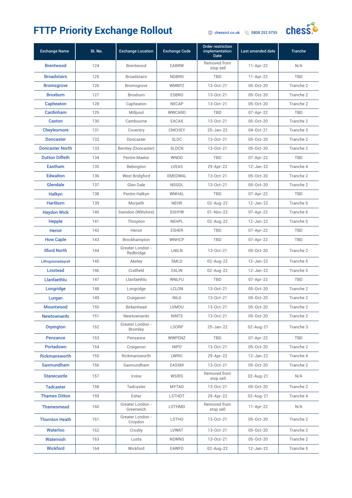#### FTTP Priority Exchange Rollout **Change Rollout**



| <b>Exchange Name</b>   | SI. No. | <b>Exchange Location</b>           | <b>Exchange Code</b> | <b>Order restriction</b><br>implementation<br><b>Date</b> | Last amended date | <b>Tranche</b> |
|------------------------|---------|------------------------------------|----------------------|-----------------------------------------------------------|-------------------|----------------|
| <b>Brentwood</b>       | 124     | Brentwood                          | <b>EABRW</b>         | Removed from<br>stop sell                                 | $11-Apr-22$       | N/A            |
| <b>Broadstairs</b>     | 125     | <b>Broadstairs</b>                 | <b>NDBRO</b>         | TBD                                                       | $11-Apr-22$       | <b>TBD</b>     |
| <b>Bromsgrove</b>      | 126     | Bromsgrove                         | <b>WMBPZ</b>         | 13-Oct-21                                                 | 05-Oct-20         | Tranche 2      |
| <b>Broxburn</b>        | 127     | <b>Broxburn</b>                    | <b>ESBRO</b>         | 13-Oct-21                                                 | 05-Oct-20         | Tranche 2      |
| Capheaton              | 128     | Capheaton                          | <b>NECAP</b>         | 13-Oct-21                                                 | 05-Oct-20         | Tranche 2      |
| Cardinham              | 129     | Millpool                           | <b>WWCARD</b>        | <b>TBD</b>                                                | 07-Apr-22         | <b>TBD</b>     |
| <b>Caxton</b>          | 130     | Cambourne                          | EACAX                | $13 - Oct - 21$                                           | 05-Oct-20         | Tranche 2      |
| <b>Cheylesmore</b>     | 131     | Coventry                           | <b>CMCHEY</b>        | 25-Jan-22                                                 | 04-Oct-21         | Tranche 3      |
| <b>Doncaster</b>       | 132     | Doncaster                          | <b>SLDC</b>          | 13-Oct-21                                                 | 05-Oct-20         | Tranche 2      |
| <b>Doncaster North</b> | 133     | Bentley (Doncaster)                | <b>SLDCN</b>         | 13-Oct-21                                                 | 05-Oct-20         | Tranche 2      |
| <b>Dutton Diffeth</b>  | 134     | Pentre Maelor                      | <b>WNDD</b>          | <b>TBD</b>                                                | 07-Apr-22         | <b>TBD</b>     |
| <b>Eastham</b>         | 135     | Bebington                          | <b>LVEAS</b>         | 29-Apr-22                                                 | $12 - Jan-22$     | Tranche 4      |
| <b>Edwalton</b>        | 136     | West Bridgford                     | <b>EMEDWAL</b>       | 13-Oct-21                                                 | 05-Oct-20         | Tranche 2      |
| <b>Glendale</b>        | 137     | Glen Dale                          | <b>NSGDL</b>         | 13-Oct-21                                                 | 05-Oct-20         | Tranche 2      |
| Halkyn                 | 138     | Pentre Halkyn                      | WNHAL                | <b>TBD</b>                                                | 07-Apr-22         | <b>TBD</b>     |
| <b>Hartburn</b>        | 139     | Morpeth                            | <b>NEHR</b>          | 02-Aug-22                                                 | 12-Jan-22         | Tranche 5      |
| <b>Haydon Wick</b>     | 140     | Swindon (Wiltshire)                | <b>SSHYW</b>         | $01-Nov-22$                                               | 07-Apr-22         | Tranche 6      |
| <b>Hepple</b>          | 141     | Thropton                           | <b>NEHPL</b>         | 02-Aug-22                                                 | 12-Jan-22         | Tranche 5      |
| <b>Heriot</b>          | 142     | Heriot                             | <b>ESHER</b>         | <b>TBD</b>                                                | 07-Apr-22         | <b>TBD</b>     |
| <b>How Caple</b>       | 143     | Brockhampton                       | <b>WNHCP</b>         | TBD                                                       | 07-Apr-22         | <b>TBD</b>     |
| <b>Ilford North</b>    | 144     | Greater London -<br>Redbridge      | LNILN                | 13-Oct-21                                                 | 05-Oct-20         | Tranche 2      |
| Lillingstonedayrell    | 145     | Akeley                             | <b>SMLD</b>          | 02-Aug-22                                                 | 12-Jan-22         | Tranche 5      |
| <b>Linstead</b>        | 146     | Cratfield                          | <b>EALIN</b>         | 02-Aug-22                                                 | $12 - Jan-22$     | Tranche 5      |
| Llanfaethlu            | 147     | Llanfaethlu                        | WNLFU                | <b>TBD</b>                                                | 07-Apr-22         | <b>TBD</b>     |
| Longridge              | 148     | Longridge                          | <b>LCLON</b>         | $13 - Oct - 21$                                           | $05 - Oct - 20$   | Tranche 2      |
| Lurgan                 | 149     | Craigavon                          | <b>NILG</b>          | 13-Oct-21                                                 | 05-Oct-20         | Tranche 2      |
| Mountwood              | 150     | Birkenhead                         | <b>LVMOU</b>         | 13-Oct-21                                                 | 05-Oct-20         | Tranche 2      |
| <b>Newtownards</b>     | 151     | Newtownards                        | <b>NINTS</b>         | $13 - Oct - 21$                                           | 05-Oct-20         | Tranche 2      |
| <b>Orpington</b>       | 152     | Greater London -<br><b>Bromley</b> | <b>LSORP</b>         | 25-Jan-22                                                 | 02-Aug-21         | Tranche 3      |
| <b>Penzance</b>        | 153     | Penzance                           | <b>WWPENZ</b>        | <b>TBD</b>                                                | 07-Apr-22         | <b>TBD</b>     |
| <b>Portadown</b>       | 154     | Craigavon                          | <b>NIPO</b>          | $13 - Oct - 21$                                           | 05-Oct-20         | Tranche 2      |
| <b>Rickmansworth</b>   | 155     | Rickmansworth                      | LWRIC                | 29-Apr-22                                                 | 12-Jan-22         | Tranche 4      |
| <b>Saxmundham</b>      | 156     | Saxmundham                         | <b>EASXM</b>         | 13-Oct-21                                                 | 05-Oct-20         | Tranche 2      |
| <b>Stanecastle</b>     | 157     | Irvine                             | <b>WSIRS</b>         | Removed from<br>stop sell                                 | 02-Aug-21         | N/A            |
| <b>Tadcaster</b>       | 158     | Tadcaster                          | <b>MYTAD</b>         | 13-Oct-21                                                 | 05-Oct-20         | Tranche 2      |
| <b>Thames Ditton</b>   | 159     | Esher                              | <b>LSTHDT</b>        | 29-Apr-22                                                 | 02-Aug-21         | Tranche 4      |
| <b>Thamesmead</b>      | 160     | Greater London -<br>Greenwich      | <b>LSTHMD</b>        | Removed from<br>stop sell                                 | $11-Apr-22$       | N/A            |
| <b>Thornton Heath</b>  | 161     | Greater London -<br>Croydon        | <b>LSTHO</b>         | 13-Oct-21                                                 | 05-Oct-20         | Tranche 2      |
| <b>Waterloo</b>        | 162     | Crosby                             | <b>LVWAT</b>         | 13-Oct-21                                                 | 05-Oct-20         | Tranche 2      |
| <b>Waternish</b>       | 163     | Lusta                              | <b>NSWNS</b>         | 13-Oct-21                                                 | 05-Oct-20         | Tranche 2      |
| <b>Wickford</b>        | 164     | Wickford                           | <b>EAWFD</b>         | 02-Aug-22                                                 | 12-Jan-22         | Tranche 5      |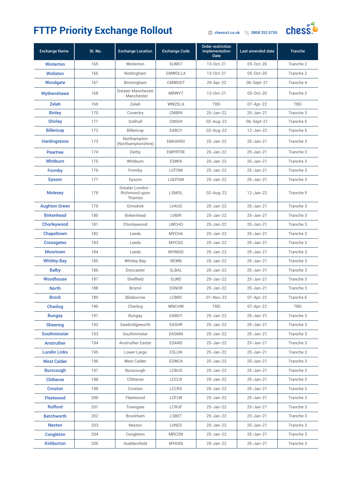

| <b>Exchange Name</b> | SI. No. | <b>Exchange Location</b>                    | <b>Exchange Code</b> | <b>Order restriction</b><br>implementation<br><b>Date</b> | Last amended date | <b>Tranche</b> |
|----------------------|---------|---------------------------------------------|----------------------|-----------------------------------------------------------|-------------------|----------------|
| <b>Winterton</b>     | 165     | Winterton                                   | <b>SLWKT</b>         | 13-Oct-21                                                 | 05-Oct-20         | Tranche 2      |
| <b>Wollaton</b>      | 166     | Nottingham                                  | <b>EMWOLLA</b>       | 13-Oct-21                                                 | 05-Oct-20         | Tranche 2      |
| Woodgate             | 167     | Birmingham                                  | <b>CMWDGT</b>        | 29-Apr-22                                                 | 06-Sept-21        | Tranche 4      |
| Wythenshawe          | 168     | Greater Manchester<br>- Manchester          | <b>MRWYT</b>         | $13 - Oct - 21$                                           | 05-Oct-20         | Tranche 2      |
| Zelah                | 169     | Zelah                                       | WWZELA               | <b>TBD</b>                                                | 07-Apr-22         | TBD            |
| <b>Binley</b>        | 170     | Coventry                                    | <b>CMBIN</b>         | 25-Jan-22                                                 | $25 - Jan-21$     | Tranche 3      |
| <b>Shirley</b>       | 171     | Solihull                                    | <b>CMSHI</b>         | 02-Aug-22                                                 | 06-Sept-21        | Tranche 5      |
| <b>Billericay</b>    | 172     | Billericay                                  | <b>EABCY</b>         | 02-Aug-22                                                 | 12-Jan-22         | Tranche 5      |
| <b>Hardingstone</b>  | 173     | Northampton<br>(Northamptonshire)           | <b>EMHARDI</b>       | 25-Jan-22                                                 | 25-Jan-21         | Tranche 3      |
| <b>Peartree</b>      | 174     | Derby                                       | <b>EMPRTRE</b>       | 25-Jan-22                                                 | 25-Jan-21         | Tranche 3      |
| Whitburn             | 175     | Whitburn                                    | <b>ESWHI</b>         | 25-Jan-22                                                 | 25-Jan-21         | Tranche 3      |
| <b>Formby</b>        | 176     | Formby                                      | <b>LCFOM</b>         | 25-Jan-22                                                 | 25-Jan-21         | Tranche 3      |
| <b>Epsom</b>         | 177     | Epsom                                       | <b>LSEPSM</b>        | 25-Jan-22                                                 | 25-Jan-21         | Tranche 3      |
| <b>Molesey</b>       | 178     | Greater London -<br>Richmond upon<br>Thames | LSMOL                | 02-Aug-22                                                 | 12-Jan-22         | Tranche 5      |
| <b>Aughton Green</b> | 179     | Ormskirk                                    | <b>LVAUG</b>         | 25-Jan-22                                                 | 25-Jan-21         | Tranche 3      |
| <b>Birkenhead</b>    | 180     | Birkenhead                                  | <b>LVBIR</b>         | 25-Jan-22                                                 | 25-Jan-21         | Tranche 3      |
| Chorleywood          | 181     | Chorleywood                                 | <b>LWCHO</b>         | 25-Jan-22                                                 | 25-Jan-21         | Tranche 3      |
| Chapeltown           | 182     | Leeds                                       | <b>MYCHA</b>         | 25-Jan-22                                                 | 25-Jan-21         | Tranche 3      |
| <b>Crossgates</b>    | 183     | Leeds                                       | <b>MYCSG</b>         | 25-Jan-22                                                 | 25-Jan-21         | Tranche 3      |
| <b>Moortown</b>      | 184     | Leeds                                       | MYM00                | 25-Jan-22                                                 | $25 - Jan-21$     | Tranche 3      |
| <b>Whitley Bay</b>   | 185     | <b>Whitley Bay</b>                          | <b>NEWB</b>          | 25-Jan-22                                                 | 25-Jan-21         | Tranche 3      |
| <b>Balby</b>         | 186     | Doncaster                                   | <b>SLBAL</b>         | 25-Jan-22                                                 | 25-Jan-21         | Tranche 3      |
| Woodhouse            | 187     | Sheffield                                   | <b>SLWD</b>          | 25-Jan-22                                                 | 25-Jan-21         | Tranche 3      |
| <b>North</b>         | 188     | <b>Bristol</b>                              | SSNOR                | 25-Jan-22                                                 | 25-Jan-21         | Tranche 3      |
| <b>Brock</b>         | 189     | Bilsborrow                                  | <b>LCBRC</b>         | 01-Nov-22                                                 | 07-Apr-22         | Tranche 6      |
| Chwilog              | 190     | Chwilog                                     | WNCHW                | TBD                                                       | 07-Apr-22         | TBD            |
| <b>Bungay</b>        | 191     | Bungay                                      | EABGY                | 25-Jan-22                                                 | 25-Jan-21         | Tranche 3      |
| <b>Sheering</b>      | 192     | Sawbridgeworth                              | <b>EASHR</b>         | 25-Jan-22                                                 | 25-Jan-21         | Tranche 3      |
| <b>Southminster</b>  | 193     | Southminster                                | <b>EASMN</b>         | 25-Jan-22                                                 | 25-Jan-21         | Tranche 3      |
| <b>Anstruther</b>    | 194     | Anstruther Easter                           | <b>ESANS</b>         | 25-Jan-22                                                 | 25-Jan-21         | Tranche 3      |
| <b>Lundin Links</b>  | 195     | Lower Largo                                 | <b>ESLUN</b>         | 25-Jan-22                                                 | 25-Jan-21         | Tranche 3      |
| <b>West Calder</b>   | 196     | West Calder                                 | <b>ESWCA</b>         | 25-Jan-22                                                 | 25-Jan-21         | Tranche 3      |
| <b>Burscough</b>     | 197     | Burscough                                   | <b>LCBUS</b>         | 25-Jan-22                                                 | 25-Jan-21         | Tranche 3      |
| <b>Clitheroe</b>     | 198     | Clitheroe                                   | <b>LCCLR</b>         | $25 - Jan - 22$                                           | 25-Jan-21         | Tranche 3      |
| <b>Croston</b>       | 199     | Croston                                     | <b>LCCRS</b>         | 25-Jan-22                                                 | 25-Jan-21         | Tranche 3      |
| Fleetwood            | 200     | Fleetwood                                   | <b>LCFLW</b>         | 25-Jan-22                                                 | 25-Jan-21         | Tranche 3      |
| <b>Rufford</b>       | 201     | Towngate                                    | <b>LCRUF</b>         | 25-Jan-22                                                 | 25-Jan-21         | Tranche 3      |
| <b>Betchworth</b>    | 202     | Brockham                                    | <b>LSBET</b>         | 25-Jan-22                                                 | 25-Jan-21         | Tranche 3      |
| <b>Neston</b>        | 203     | Neston                                      | <b>LVNES</b>         | 25-Jan-22                                                 | 25-Jan-21         | Tranche 3      |
| <b>Congleton</b>     | 204     | Congleton                                   | <b>MRCON</b>         | 25-Jan-22                                                 | 25-Jan-21         | Tranche 3      |
| <b>Kirkburton</b>    | 205     | Huddersfield                                | <b>MYKKB</b>         | 25-Jan-22                                                 | 25-Jan-21         | Tranche 3      |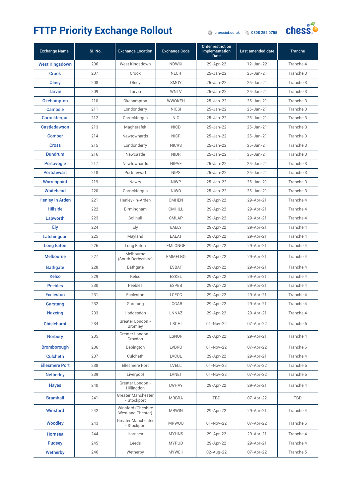

| <b>Exchange Name</b>   | SI. No. | <b>Exchange Location</b>                | <b>Exchange Code</b> | <b>Order restriction</b><br><i>implementation</i><br><b>Date</b> | Last amended date | <b>Tranche</b> |
|------------------------|---------|-----------------------------------------|----------------------|------------------------------------------------------------------|-------------------|----------------|
| <b>West Kingsdown</b>  | 206     | West Kingsdown                          | <b>NDWKI</b>         | 29-Apr-22                                                        | 12-Jan-22         | Tranche 4      |
| Crook                  | 207     | Crook                                   | <b>NECR</b>          | 25-Jan-22                                                        | 25-Jan-21         | Tranche 3      |
| Olney                  | 208     | Olney                                   | <b>SMOY</b>          | 25-Jan-22                                                        | 25-Jan-21         | Tranche 3      |
| <b>Tarvin</b>          | 209     | Tarvin                                  | <b>WNTV</b>          | 25-Jan-22                                                        | 25-Jan-21         | Tranche 3      |
| Okehampton             | 210     | Okehampton                              | <b>WWOKEH</b>        | 25-Jan-22                                                        | 25-Jan-21         | Tranche 3      |
| <b>Campsie</b>         | 211     | Londonderry                             | <b>NICSI</b>         | 25-Jan-22                                                        | 25-Jan-21         | Tranche 3      |
| <b>Carrickfergus</b>   | 212     | Carrickfergus                           | <b>NIC</b>           | 25-Jan-22                                                        | 25-Jan-21         | Tranche 3      |
| <b>Castledawson</b>    | 213     | Magherafelt                             | <b>NICD</b>          | 25-Jan-22                                                        | $25 - Jan-21$     | Tranche 3      |
| <b>Comber</b>          | 214     | Newtownards                             | <b>NICR</b>          | 25-Jan-22                                                        | 25-Jan-21         | Tranche 3      |
| <b>Cross</b>           | 215     | Londonderry                             | <b>NICRS</b>         | 25-Jan-22                                                        | 25-Jan-21         | Tranche 3      |
| <b>Dundrum</b>         | 216     | Newcastle                               | <b>NIDR</b>          | 25-Jan-22                                                        | 25-Jan-21         | Tranche 3      |
| <b>Portavogie</b>      | 217     | Newtownards                             | <b>NIPVE</b>         | 25-Jan-22                                                        | 25-Jan-21         | Tranche 3      |
| <b>Portstewart</b>     | 218     | Portstewart                             | <b>NIPS</b>          | 25-Jan-22                                                        | $25 - Jan-21$     | Tranche 3      |
| <b>Warrenpoint</b>     | 219     | Newry                                   | <b>NIWP</b>          | 25-Jan-22                                                        | 25-Jan-21         | Tranche 3      |
| <b>Whitehead</b>       | 220     | Carrickfergus                           | <b>NIWD</b>          | 25-Jan-22                                                        | 25-Jan-21         | Tranche 3      |
| <b>Henley In Arden</b> | 221     | Henley-In-Arden                         | <b>CMHEN</b>         | 29-Apr-22                                                        | 29-Apr-21         | Tranche 4      |
| <b>Hillside</b>        | 222     | Birmingham                              | <b>CMHILL</b>        | 29-Apr-22                                                        | 29-Apr-21         | Tranche 4      |
| Lapworth               | 223     | Solihull                                | CMLAP                | 29-Apr-22                                                        | 29-Apr-21         | Tranche 4      |
| Ely                    | 224     | Ely                                     | <b>EAELY</b>         | 29-Apr-22                                                        | 29-Apr-21         | Tranche 4      |
| Latchingdon            | 225     | Mayland                                 | <b>EALAT</b>         | 29-Apr-22                                                        | 29-Apr-21         | Tranche 4      |
| <b>Long Eaton</b>      | 226     | Long Eaton                              | <b>EMLONGE</b>       | 29-Apr-22                                                        | 29-Apr-21         | Tranche 4      |
| <b>Melbourne</b>       | 227     | Melbourne<br>(South Derbyshire)         | <b>EMMELBO</b>       | 29-Apr-22                                                        | 29-Apr-21         | Tranche 4      |
| <b>Bathgate</b>        | 228     | Bathgate                                | <b>ESBAT</b>         | 29-Apr-22                                                        | 29-Apr-21         | Tranche 4      |
| <b>Kelso</b>           | 229     | Kelso                                   | <b>ESKEL</b>         | 29-Apr-22                                                        | 29-Apr-21         | Tranche 4      |
| <b>Peebles</b>         | 230     | Peebles                                 | <b>ESPEB</b>         | 29-Apr-22                                                        | 29-Apr-21         | Tranche 4      |
| <b>Eccleston</b>       | 231     | Eccleston                               | LCECC                | 29-Apr-22                                                        | 29-Apr-21         | Tranche 4      |
| Garstang               | 232     | Garstang                                | LCGAR                | 29-Apr-22                                                        | 29-Apr-21         | Tranche 4      |
| <b>Nazeing</b>         | 233     | Hoddesdon                               | LNNAZ                | 29-Apr-22                                                        | 29-Apr-21         | Tranche 4      |
| <b>Chislehurst</b>     | 234     | Greater London -<br><b>Bromley</b>      | <b>LSCHI</b>         | $01 - Nov-22$                                                    | 07-Apr-22         | Tranche 6      |
| <b>Norbury</b>         | 235     | Greater London -<br>Crovdon             | <b>LSNOR</b>         | 29-Apr-22                                                        | 29-Apr-21         | Tranche 4      |
| <b>Bromborough</b>     | 236     | Bebington                               | <b>LVBRO</b>         | $01 - Nov-22$                                                    | 07-Apr-22         | Tranche 6      |
| <b>Culcheth</b>        | 237     | Culcheth                                | LVCUL                | 29-Apr-22                                                        | 29-Apr-21         | Tranche 4      |
| <b>Ellesmere Port</b>  | 238     | <b>Ellesmere Port</b>                   | LVELL                | $01 - Nov-22$                                                    | 07-Apr-22         | Tranche 6      |
| <b>Netherley</b>       | 239     | Liverpool                               | <b>LVNET</b>         | $01 - Nov-22$                                                    | 07-Apr-22         | Tranche 6      |
| <b>Hayes</b>           | 240     | Greater London -<br>Hillingdon          | <b>LWHAY</b>         | 29-Apr-22                                                        | 29-Apr-21         | Tranche 4      |
| <b>Bramhall</b>        | 241     | Greater Manchester<br>- Stockport       | <b>MRBRA</b>         | <b>TBD</b>                                                       | 07-Apr-22         | TBD            |
| <b>Winsford</b>        | 242     | Winsford (Cheshire<br>West and Chester) | <b>MRWIN</b>         | 29-Apr-22                                                        | 29-Apr-21         | Tranche 4      |
| <b>Woodley</b>         | 243     | Greater Manchester<br>- Stockport       | <b>MRWOO</b>         | 01-Nov-22                                                        | 07-Apr-22         | Tranche 6      |
| <b>Hornsea</b>         | 244     | Hornsea                                 | <b>MYHNS</b>         | 29-Apr-22                                                        | 29-Apr-21         | Tranche 4      |
| <b>Pudsey</b>          | 245     | Leeds                                   | <b>MYPUD</b>         | 29-Apr-22                                                        | 29-Apr-21         | Tranche 4      |
| Wetherby               | 246     | Wetherby                                | <b>MYWEH</b>         | 02-Aug-22                                                        | 07-Apr-22         | Tranche 5      |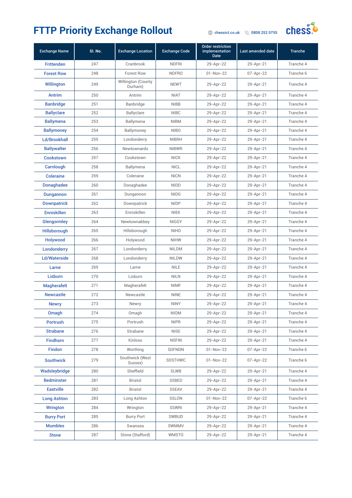

| <b>Exchange Name</b> | SI. No. | <b>Exchange Location</b>      | <b>Exchange Code</b> | <b>Order restriction</b><br><i>implementation</i><br><b>Date</b> | Last amended date | <b>Tranche</b> |
|----------------------|---------|-------------------------------|----------------------|------------------------------------------------------------------|-------------------|----------------|
| <b>Frittenden</b>    | 247     | Cranbrook                     | <b>NDFRI</b>         | 29-Apr-22                                                        | 29-Apr-21         | Tranche 4      |
| <b>Forest Row</b>    | 248     | <b>Forest Row</b>             | <b>NDFRO</b>         | $01 - Nov-22$                                                    | 07-Apr-22         | Tranche 6      |
| <b>Willington</b>    | 249     | Willington (County<br>Durham) | <b>NEWT</b>          | 29-Apr-22                                                        | 29-Apr-21         | Tranche 4      |
| Antrim               | 250     | Antrim                        | <b>NIAT</b>          | 29-Apr-22                                                        | 29-Apr-21         | Tranche 4      |
| <b>Banbridge</b>     | 251     | Banbridge                     | <b>NIBB</b>          | 29-Apr-22                                                        | 29-Apr-21         | Tranche 4      |
| <b>Ballyclare</b>    | 252     | Ballyclare                    | <b>NIBC</b>          | 29-Apr-22                                                        | 29-Apr-21         | Tranche 4      |
| <b>Ballymena</b>     | 253     | Ballymena                     | <b>NIBM</b>          | 29-Apr-22                                                        | 29-Apr-21         | Tranche 4      |
| <b>Ballymoney</b>    | 254     | Ballymoney                    | <b>NIBO</b>          | 29-Apr-22                                                        | 29-Apr-21         | Tranche 4      |
| <b>Ld/Brookhall</b>  | 255     | Londonderry                   | <b>NIBRH</b>         | 29-Apr-22                                                        | 29-Apr-21         | Tranche 4      |
| <b>Ballywalter</b>   | 256     | Newtownards                   | <b>NIBWR</b>         | 29-Apr-22                                                        | 29-Apr-21         | Tranche 4      |
| <b>Cookstown</b>     | 257     | Cookstown                     | <b>NICK</b>          | 29-Apr-22                                                        | 29-Apr-21         | Tranche 4      |
| Carnlough            | 258     | Ballymena                     | <b>NICL</b>          | 29-Apr-22                                                        | 29-Apr-21         | Tranche 4      |
| <b>Coleraine</b>     | 259     | Coleraine                     | <b>NICN</b>          | 29-Apr-22                                                        | 29-Apr-21         | Tranche 4      |
| <b>Donaghadee</b>    | 260     | Donaghadee                    | <b>NIDD</b>          | 29-Apr-22                                                        | 29-Apr-21         | Tranche 4      |
| <b>Dungannon</b>     | 261     | Dungannon                     | <b>NIDG</b>          | 29-Apr-22                                                        | 29-Apr-21         | Tranche 4      |
| <b>Downpatrick</b>   | 262     | Downpatrick                   | <b>NIDP</b>          | 29-Apr-22                                                        | 29-Apr-21         | Tranche 4      |
| <b>Enniskillen</b>   | 263     | Enniskillen                   | <b>NIEK</b>          | 29-Apr-22                                                        | 29-Apr-21         | Tranche 4      |
| Glengormley          | 264     | Newtownabbey                  | <b>NIGGY</b>         | 29-Apr-22                                                        | 29-Apr-21         | Tranche 4      |
| Hillsborough         | 265     | Hillsborough                  | <b>NIHO</b>          | 29-Apr-22                                                        | 29-Apr-21         | Tranche 4      |
| Holywood             | 266     | Holywood                      | <b>NIHW</b>          | 29-Apr-22                                                        | 29-Apr-21         | Tranche 4      |
| Londonderry          | 267     | Londonderry                   | <b>NILDM</b>         | 29-Apr-22                                                        | 29-Apr-21         | Tranche 4      |
| <b>Ld/Waterside</b>  | 268     | Londonderry                   | <b>NILDW</b>         | 29-Apr-22                                                        | 29-Apr-21         | Tranche 4      |
| Larne                | 269     | Larne                         | <b>NILE</b>          | 29-Apr-22                                                        | 29-Apr-21         | Tranche 4      |
| Lisburn              | 270     | Lisburn                       | <b>NILN</b>          | 29-Apr-22                                                        | 29-Apr-21         | Tranche 4      |
| <b>Magherafelt</b>   | 271     | Magherafelt                   | <b>NIMF</b>          | 29-Apr-22                                                        | 29-Apr-21         | Tranche 4      |
| <b>Newcastle</b>     | 272     | Newcastle                     | <b>NINE</b>          | 29-Apr-22                                                        | 29-Apr-21         | Tranche 4      |
| <b>Newry</b>         | 273     | Newry                         | <b>NINY</b>          | 29-Apr-22                                                        | 29-Apr-21         | Tranche 4      |
| Omagh                | 274     | Omagh                         | <b>NIOM</b>          | 29-Apr-22                                                        | 29-Apr-21         | Tranche 4      |
| <b>Portrush</b>      | 275     | Portrush                      | <b>NIPR</b>          | 29-Apr-22                                                        | 29-Apr-21         | Tranche 4      |
| <b>Strabane</b>      | 276     | Strabane                      | <b>NISE</b>          | 29-Apr-22                                                        | 29-Apr-21         | Tranche 4      |
| <b>Findhorn</b>      | 277     | Kinloss                       | <b>NSFIN</b>         | 29-Apr-22                                                        | 29-Apr-21         | Tranche 4      |
| <b>Findon</b>        | 278     | Worthing                      | SDFNDN               | 01-Nov-22                                                        | 07-Apr-22         | Tranche 6      |
| <b>Southwick</b>     | 279     | Southwick (West<br>Sussex)    | <b>SDSTHWC</b>       | 01-Nov-22                                                        | 07-Apr-22         | Tranche 6      |
| Wadsleybridge        | 280     | Sheffield                     | <b>SLWB</b>          | 29-Apr-22                                                        | 29-Apr-21         | Tranche 4      |
| <b>Bedminster</b>    | 281     | Bristol                       | <b>SSBED</b>         | 29-Apr-22                                                        | 29-Apr-21         | Tranche 4      |
| <b>Eastville</b>     | 282     | Bristol                       | SSEAV                | 29-Apr-22                                                        | 29-Apr-21         | Tranche 4      |
| <b>Long Ashton</b>   | 283     | Long Ashton                   | SSLON                | 01-Nov-22                                                        | 07-Apr-22         | Tranche 6      |
| <b>Wrington</b>      | 284     | Wrington                      | SSWRI                | 29-Apr-22                                                        | 29-Apr-21         | Tranche 4      |
| <b>Burry Port</b>    | 285     | <b>Burry Port</b>             | SWBUD                | 29-Apr-22                                                        | 29-Apr-21         | Tranche 4      |
| <b>Mumbles</b>       | 286     | Swansea                       | SWMMV                | 29-Apr-22                                                        | 29-Apr-21         | Tranche 4      |
| <b>Stone</b>         | 287     | Stone (Stafford)              | <b>WMSTO</b>         | 29-Apr-22                                                        | 29-Apr-21         | Tranche 4      |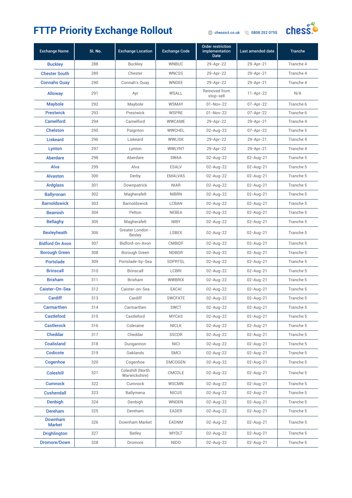

| <b>Exchange Name</b>            | SI. No. | <b>Exchange Location</b>          | <b>Exchange Code</b> | <b>Order restriction</b><br><i>implementation</i><br><b>Date</b> | Last amended date | <b>Tranche</b> |
|---------------------------------|---------|-----------------------------------|----------------------|------------------------------------------------------------------|-------------------|----------------|
| <b>Buckley</b>                  | 288     | <b>Buckley</b>                    | <b>WNBUC</b>         | 29-Apr-22                                                        | 29-Apr-21         | Tranche 4      |
| <b>Chester South</b>            | 289     | Chester                           | <b>WNCSS</b>         | 29-Apr-22                                                        | 29-Apr-21         | Tranche 4      |
| <b>Connahs Quay</b>             | 290     | Connah's Quay                     | <b>WNDEE</b>         | 29-Apr-22                                                        | 29-Apr-21         | Tranche 4      |
| <b>Alloway</b>                  | 291     | Ayr                               | <b>WSALL</b>         | Removed from<br>stop-sell                                        | $11-Apr-22$       | N/A            |
| <b>Maybole</b>                  | 292     | Maybole                           | <b>WSMAY</b>         | $01 - Nov-22$                                                    | 07-Apr-22         | Tranche 6      |
| <b>Prestwick</b>                | 293     | Prestwick                         | <b>WSPRE</b>         | $01 - Nov-22$                                                    | 07-Apr-22         | Tranche 6      |
| <b>Camelford</b>                | 294     | Camelford                         | WWCAME               | 29-Apr-22                                                        | 29-Apr-21         | Tranche 4      |
| <b>Chelston</b>                 | 295     | Paignton                          | <b>WWCHEL</b>        | 02-Aug-22                                                        | 07-Apr-22         | Tranche 5      |
| <b>Liskeard</b>                 | 296     | Liskeard                          | <b>WWLISK</b>        | 29-Apr-22                                                        | 29-Apr-21         | Tranche 4      |
| Lynton                          | 297     | Lynton                            | WWLYNT               | 29-Apr-22                                                        | 29-Apr-21         | Tranche 4      |
| <b>Aberdare</b>                 | 298     | Aberdare                          | <b>SWAA</b>          | 02-Aug-22                                                        | $02$ -Aug-21      | Tranche 5      |
| Alva                            | 299     | Alva                              | <b>ESALV</b>         | 02-Aug-22                                                        | $02$ -Aug-21      | Tranche 5      |
| <b>Alvaston</b>                 | 300     | Derby                             | <b>EMALVAS</b>       | 02-Aug-22                                                        | $02$ -Aug-21      | Tranche 5      |
| <b>Ardglass</b>                 | 301     | Downpatrick                       | <b>NIAR</b>          | 02-Aug-22                                                        | $02$ -Aug-21      | Tranche 5      |
| <b>Ballyronan</b>               | 302     | Magherafelt                       | <b>NIBRN</b>         | 02-Aug-22                                                        | $02$ -Aug-21      | Tranche 5      |
| <b>Barnoldswick</b>             | 303     | Barnoldswick                      | <b>LCBAN</b>         | 02-Aug-22                                                        | $02$ -Aug-21      | Tranche 5      |
| <b>Beamish</b>                  | 304     | Pelton                            | <b>NEBEA</b>         | 02-Aug-22                                                        | $02$ -Aug-21      | Tranche 5      |
| <b>Bellaghy</b>                 | 305     | Magherafelt                       | <b>NIBY</b>          | 02-Aug-22                                                        | $02$ -Aug-21      | Tranche 5      |
| <b>Bexleyheath</b>              | 306     | Greater London -<br><b>Bexley</b> | <b>LSBEX</b>         | 02-Aug-22                                                        | $02$ -Aug-21      | Tranche 5      |
| <b>Bidford On Avon</b>          | 307     | Bidford-on-Avon                   | <b>CMBIDF</b>        | 02-Aug-22                                                        | $02$ -Aug-21      | Tranche 5      |
| <b>Borough Green</b>            | 308     | Borough Green                     | <b>NDBGR</b>         | 02-Aug-22                                                        | $02$ -Aug-21      | Tranche 5      |
| <b>Portslade</b>                | 309     | Portslade-by-Sea                  | <b>SDPRTSL</b>       | 02-Aug-22                                                        | $02$ -Aug-21      | Tranche 5      |
| <b>Brinscall</b>                | 310     | Brinscall                         | <b>LCBRI</b>         | 02-Aug-22                                                        | $02$ -Aug-21      | Tranche 5      |
| <b>Brixham</b>                  | 311     | Brixham                           | <b>WWBRIX</b>        | 02-Aug-22                                                        | $02$ -Aug-21      | Tranche 5      |
| Caister-On-Sea                  | 312     | Caister-on-Sea                    | EACAI                | 02-Aug-22                                                        | 02-Aug-21         | Tranche 5      |
| Cardiff                         | 313     | Cardiff                           | <b>SWCFATE</b>       | 02-Aug-22                                                        | $02$ -Aug-21      | Tranche 5      |
| <b>Carmarthen</b>               | 314     | Carmarthen                        | <b>SWCT</b>          | 02-Aug-22                                                        | 02-Aug-21         | Tranche 5      |
| <b>Castleford</b>               | 315     | Castleford                        | <b>MYCAS</b>         | 02-Aug-22                                                        | 02-Aug-21         | Tranche 5      |
| <b>Castlerock</b>               | 316     | Coleraine                         | <b>NICLK</b>         | 02-Aug-22                                                        | 02-Aug-21         | Tranche 5      |
| <b>Cheddar</b>                  | 317     | Cheddar                           | <b>SSCDR</b>         | 02-Aug-22                                                        | 02-Aug-21         | Tranche 5      |
| <b>Coalisland</b>               | 318     | Dungannon                         | <b>NICI</b>          | 02-Aug-22                                                        | 02-Aug-21         | Tranche 5      |
| Codicote                        | 319     | Oaklands                          | <b>SMCI</b>          | 02-Aug-22                                                        | 02-Aug-21         | Tranche 5      |
| Cogenhoe                        | 320     | Cogenhoe                          | <b>EMCOGEN</b>       | 02-Aug-22                                                        | 02-Aug-21         | Tranche 5      |
| <b>Coleshill</b>                | 321     | Coleshill (North<br>Warwickshire) | CMCOLE               | 02-Aug-22                                                        | $02$ -Aug-21      | Tranche 5      |
| <b>Cumnock</b>                  | 322     | Cumnock                           | WSCMN                | 02-Aug-22                                                        | 02-Aug-21         | Tranche 5      |
| <b>Cushendall</b>               | 323     | Ballymena                         | <b>NICUS</b>         | 02-Aug-22                                                        | 02-Aug-21         | Tranche 5      |
| <b>Denbigh</b>                  | 324     | Denbigh                           | <b>WNDEN</b>         | 02-Aug-22                                                        | 02-Aug-21         | Tranche 5      |
| Dereham                         | 325     | Dereham                           | EADER                | 02-Aug-22                                                        | 02-Aug-21         | Tranche 5      |
| <b>Downham</b><br><b>Market</b> | 326     | Downham Market                    | EADNM                | 02-Aug-22                                                        | 02-Aug-21         | Tranche 5      |
| <b>Drighlington</b>             | 327     | Batley                            | <b>MYDLT</b>         | 02-Aug-22                                                        | 02-Aug-21         | Tranche 5      |
| <b>Dromore/Down</b>             | 328     | Dromore                           | <b>NIDO</b>          | 02-Aug-22                                                        | 02-Aug-21         | Tranche 5      |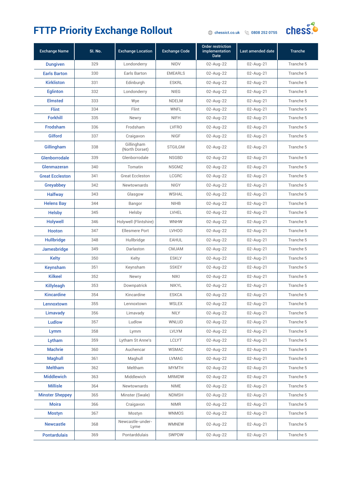

| <b>Exchange Name</b>   | SI. No. | <b>Exchange Location</b>     | <b>Exchange Code</b> | Order restriction<br><i>implementation</i><br><b>Date</b> | Last amended date | <b>Tranche</b> |
|------------------------|---------|------------------------------|----------------------|-----------------------------------------------------------|-------------------|----------------|
| <b>Dungiven</b>        | 329     | Londonderry                  | <b>NIDV</b>          | 02-Aug-22                                                 | 02-Aug-21         | Tranche 5      |
| <b>Earls Barton</b>    | 330     | Earls Barton                 | <b>EMEARLS</b>       | 02-Aug-22                                                 | 02-Aug-21         | Tranche 5      |
| <b>Kirkliston</b>      | 331     | Edinburgh                    | <b>ESKRL</b>         | 02-Aug-22                                                 | 02-Aug-21         | Tranche 5      |
| <b>Eglinton</b>        | 332     | Londonderry                  | <b>NIEG</b>          | 02-Aug-22                                                 | 02-Aug-21         | Tranche 5      |
| <b>Elmsted</b>         | 333     | Wye                          | <b>NDELM</b>         | 02-Aug-22                                                 | $02$ -Aug-21      | Tranche 5      |
| <b>Flint</b>           | 334     | Flint                        | <b>WNFL</b>          | 02-Aug-22                                                 | 02-Aug-21         | Tranche 5      |
| <b>Forkhill</b>        | 335     | Newry                        | <b>NIFH</b>          | 02-Aug-22                                                 | 02-Aug-21         | Tranche 5      |
| <b>Frodsham</b>        | 336     | Frodsham                     | <b>LVFRO</b>         | 02-Aug-22                                                 | 02-Aug-21         | Tranche 5      |
| <b>Gilford</b>         | 337     | Craigavon                    | <b>NIGF</b>          | 02-Aug-22                                                 | 02-Aug-21         | Tranche 5      |
| Gillingham             | 338     | Gillingham<br>(North Dorset) | <b>STGILGM</b>       | 02-Aug-22                                                 | 02-Aug-21         | Tranche 5      |
| Glenborrodale          | 339     | Glenborrodale                | <b>NSGBD</b>         | 02-Aug-22                                                 | 02-Aug-21         | Tranche 5      |
| Glenmazeran            | 340     | Tomatin                      | <b>NSGMZ</b>         | 02-Aug-22                                                 | 02-Aug-21         | Tranche 5      |
| <b>Great Eccleston</b> | 341     | <b>Great Eccleston</b>       | LCGRC                | 02-Aug-22                                                 | 02-Aug-21         | Tranche 5      |
| Greyabbey              | 342     | <b>Newtownards</b>           | <b>NIGY</b>          | 02-Aug-22                                                 | 02-Aug-21         | Tranche 5      |
| <b>Halfway</b>         | 343     | Glasgow                      | <b>WSHAL</b>         | 02-Aug-22                                                 | 02-Aug-21         | Tranche 5      |
| <b>Helens Bay</b>      | 344     | Bangor                       | <b>NIHB</b>          | 02-Aug-22                                                 | 02-Aug-21         | Tranche 5      |
| <b>Helsby</b>          | 345     | Helsby                       | LVHEL                | 02-Aug-22                                                 | 02-Aug-21         | Tranche 5      |
| <b>Holywell</b>        | 346     | Holywell (Flintshire)        | <b>WNHW</b>          | 02-Aug-22                                                 | 02-Aug-21         | Tranche 5      |
| Hooton                 | 347     | <b>Ellesmere Port</b>        | LVH00                | 02-Aug-22                                                 | 02-Aug-21         | Tranche 5      |
| <b>Hullbridge</b>      | 348     | Hullbridge                   | <b>EAHUL</b>         | 02-Aug-22                                                 | 02-Aug-21         | Tranche 5      |
| Jamesbridge            | 349     | Darlaston                    | <b>CMJAM</b>         | 02-Aug-22                                                 | 02-Aug-21         | Tranche 5      |
| <b>Kelty</b>           | 350     | Kelty                        | <b>ESKLY</b>         | 02-Aug-22                                                 | 02-Aug-21         | Tranche 5      |
| <b>Keynsham</b>        | 351     | Keynsham                     | <b>SSKEY</b>         | 02-Aug-22                                                 | 02-Aug-21         | Tranche 5      |
| <b>Kilkeel</b>         | 352     | Newry                        | <b>NIKI</b>          | 02-Aug-22                                                 | 02-Aug-21         | Tranche 5      |
| Killyleagh             | 353     | Downpatrick                  | <b>NIKYL</b>         | 02-Aug-22                                                 | 02-Aug-21         | Tranche 5      |
| <b>Kincardine</b>      | 354     | Kincardine                   | <b>ESKCA</b>         | 02-Aug-22                                                 | 02-Aug-21         | Tranche 5      |
| Lennoxtown             | 355     | Lennoxtown                   | WSLEX                | 02-Aug-22                                                 | $02$ -Aug-21      | Tranche 5      |
| Limavady               | 356     | Limavady                     | <b>NILY</b>          | 02-Aug-22                                                 | 02-Aug-21         | Tranche 5      |
| <b>Ludlow</b>          | 357     | Ludlow                       | <b>WNLUD</b>         | 02-Aug-22                                                 | 02-Aug-21         | Tranche 5      |
| Lymm                   | 358     | Lymm                         | <b>LVLYM</b>         | 02-Aug-22                                                 | 02-Aug-21         | Tranche 5      |
| Lytham                 | 359     | Lytham St Anne's             | LCLYT                | 02-Aug-22                                                 | 02-Aug-21         | Tranche 5      |
| <b>Machrie</b>         | 360     | Auchencar                    | <b>WSMAC</b>         | 02-Aug-22                                                 | 02-Aug-21         | Tranche 5      |
| <b>Maghull</b>         | 361     | Maghull                      | <b>LVMAG</b>         | 02-Aug-22                                                 | 02-Aug-21         | Tranche 5      |
| <b>Meltham</b>         | 362     | Meltham                      | <b>MYMTH</b>         | 02-Aug-22                                                 | 02-Aug-21         | Tranche 5      |
| <b>Middlewich</b>      | 363     | Middlewich                   | <b>MRMDW</b>         | 02-Aug-22                                                 | $02$ -Aug-21      | Tranche 5      |
| <b>Millisle</b>        | 364     | Newtownards                  | <b>NIME</b>          | 02-Aug-22                                                 | 02-Aug-21         | Tranche 5      |
| <b>Minster Sheppey</b> | 365     | Minster (Swale)              | <b>NDMSH</b>         | 02-Aug-22                                                 | 02-Aug-21         | Tranche 5      |
| <b>Moira</b>           | 366     | Craigavon                    | <b>NIMR</b>          | 02-Aug-22                                                 | 02-Aug-21         | Tranche 5      |
| <b>Mostyn</b>          | 367     | Mostyn                       | WNMOS                | 02-Aug-22                                                 | 02-Aug-21         | Tranche 5      |
| <b>Newcastle</b>       | 368     | Newcastle-under-<br>Lyme     | <b>WMNEW</b>         | 02-Aug-22                                                 | 02-Aug-21         | Tranche 5      |
| <b>Pontardulais</b>    | 369     | Pontarddulais                | SWPDW                | 02-Aug-22                                                 | 02-Aug-21         | Tranche 5      |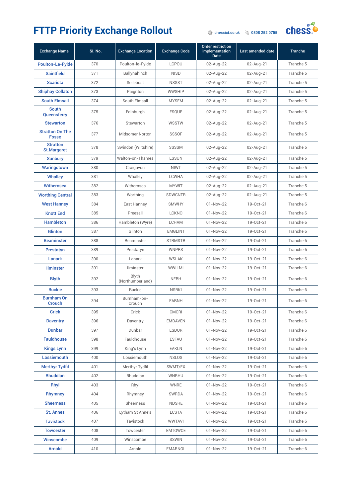#### FTTP Priority Exchange Rollout **Change Rollout**



| <b>Exchange Name</b>                   | SI. No. | <b>Exchange Location</b>         | <b>Exchange Code</b> | <b>Order restriction</b><br>implementation<br><b>Date</b> | Last amended date | <b>Tranche</b> |
|----------------------------------------|---------|----------------------------------|----------------------|-----------------------------------------------------------|-------------------|----------------|
| <b>Poulton-Le-Fylde</b>                | 370     | Poulton-le-Fylde                 | <b>LCPOU</b>         | 02-Aug-22                                                 | $02$ -Aug-21      | Tranche 5      |
| <b>Saintfield</b>                      | 371     | Ballynahinch                     | <b>NISD</b>          | 02-Aug-22                                                 | $02$ -Aug-21      | Tranche 5      |
| <b>Scarista</b>                        | 372     | Seilebost                        | <b>NSSST</b>         | 02-Aug-22                                                 | $02$ -Aug-21      | Tranche 5      |
| <b>Shiphay Collaton</b>                | 373     | Paignton                         | <b>WWSHIP</b>        | 02-Aug-22                                                 | 02-Aug-21         | Tranche 5      |
| <b>South Elmsall</b>                   | 374     | South Elmsall                    | <b>MYSEM</b>         | 02-Aug-22                                                 | $02$ -Aug-21      | Tranche 5      |
| <b>South</b><br>Queensferry            | 375     | Edinburgh                        | <b>ESQUE</b>         | 02-Aug-22                                                 | 02-Aug-21         | Tranche 5      |
| <b>Stewarton</b>                       | 376     | Stewarton                        | WSSTW                | 02-Aug-22                                                 | 02-Aug-21         | Tranche 5      |
| <b>Stratton On The</b><br><b>Fosse</b> | 377     | <b>Midsomer Norton</b>           | <b>SSSOF</b>         | 02-Aug-22                                                 | 02-Aug-21         | Tranche 5      |
| <b>Stratton</b><br><b>St.Margaret</b>  | 378     | Swindon (Wiltshire)              | SSSSM                | 02-Aug-22                                                 | $02$ -Aug-21      | Tranche 5      |
| <b>Sunbury</b>                         | 379     | Walton-on-Thames                 | <b>LSSUN</b>         | 02-Aug-22                                                 | $02$ -Aug-21      | Tranche 5      |
| <b>Waringstown</b>                     | 380     | Craigavon                        | <b>NIWT</b>          | 02-Aug-22                                                 | $02$ -Aug-21      | Tranche 5      |
| <b>Whalley</b>                         | 381     | Whalley                          | <b>LCWHA</b>         | 02-Aug-22                                                 | 02-Aug-21         | Tranche 5      |
| Withernsea                             | 382     | Withernsea                       | <b>MYWIT</b>         | 02-Aug-22                                                 | $02$ -Aug-21      | Tranche 5      |
| <b>Worthing Central</b>                | 383     | Worthing                         | <b>SDWCNTR</b>       | 02-Aug-22                                                 | $02$ -Aug-21      | Tranche 5      |
| <b>West Hanney</b>                     | 384     | East Hanney                      | <b>SMWHY</b>         | $01 - Nov-22$                                             | 19-Oct-21         | Tranche 6      |
| <b>Knott End</b>                       | 385     | Preesall                         | <b>LCKNO</b>         | $01 - Nov-22$                                             | 19-Oct-21         | Tranche 6      |
| <b>Hambleton</b>                       | 386     | Hambleton (Wyre)                 | <b>LCHAM</b>         | $01 - Nov-22$                                             | 19-Oct-21         | Tranche 6      |
| <b>Glinton</b>                         | 387     | Glinton                          | <b>EMGLINT</b>       | $01 - Nov-22$                                             | 19-Oct-21         | Tranche 6      |
| <b>Beaminster</b>                      | 388     | Beaminster                       | <b>STBMSTR</b>       | $01 - Nov-22$                                             | 19-Oct-21         | Tranche 6      |
| <b>Prestatyn</b>                       | 389     | Prestatyn                        | <b>WNPRS</b>         | $01 - Nov-22$                                             | 19-Oct-21         | Tranche 6      |
| Lanark                                 | 390     | Lanark                           | <b>WSLAK</b>         | $01 - Nov-22$                                             | 19-Oct-21         | Tranche 6      |
| <b>Ilminster</b>                       | 391     | Ilminster                        | <b>WWILMI</b>        | $01 - Nov-22$                                             | 19-Oct-21         | Tranche 6      |
| <b>Blyth</b>                           | 392     | <b>Blyth</b><br>(Northumberland) | <b>NEBH</b>          | $01 - Nov-22$                                             | 19-Oct-21         | Tranche 6      |
| <b>Buckie</b>                          | 393     | <b>Buckie</b>                    | <b>NSBKI</b>         | $01 - Nov-22$                                             | 19-Oct-21         | Tranche 6      |
| <b>Burnham On</b><br>Crouch            | 394     | Burnham-on-<br>Crouch            | <b>EABNH</b>         | 01-Nov-22                                                 | 19-Oct-21         | Tranche 6      |
| <b>Crick</b>                           | 395     | Crick                            | CMCRI                | 01-Nov-22                                                 | 19-Oct-21         | Tranche 6      |
| <b>Daventry</b>                        | 396     | Daventry                         | <b>EMDAVEN</b>       | 01-Nov-22                                                 | 19-Oct-21         | Tranche 6      |
| <b>Dunbar</b>                          | 397     | Dunbar                           | <b>ESDUR</b>         | $01 - Nov-22$                                             | 19-Oct-21         | Tranche 6      |
| <b>Fauldhouse</b>                      | 398     | Fauldhouse                       | <b>ESFAU</b>         | $01-Nov-22$                                               | 19-Oct-21         | Tranche 6      |
| <b>Kings Lynn</b>                      | 399     | King's Lynn                      | <b>EAKLN</b>         | $01 - Nov-22$                                             | 19-Oct-21         | Tranche 6      |
| Lossiemouth                            | 400     | Lossiemouth                      | <b>NSLOS</b>         | 01-Nov-22                                                 | 19-Oct-21         | Tranche 6      |
| <b>Merthyr Tydfil</b>                  | 401     | Merthyr Tydfil                   | SWMT/EX              | $01 - Nov-22$                                             | 19-Oct-21         | Tranche 6      |
| Rhuddlan                               | 402     | Rhuddlan                         | WNRHU                | 01-Nov-22                                                 | 19-Oct-21         | Tranche 6      |
| Rhyl                                   | 403     | Rhyl                             | WNRE                 | 01-Nov-22                                                 | 19-Oct-21         | Tranche 6      |
| Rhymney                                | 404     | Rhymney                          | SWRDA                | $01 - Nov-22$                                             | 19-Oct-21         | Tranche 6      |
| <b>Sheerness</b>                       | 405     | Sheerness                        | <b>NDSHE</b>         | $01-Nov-22$                                               | 19-Oct-21         | Tranche 6      |
| <b>St. Annes</b>                       | 406     | Lytham St Anne's                 | LCSTA                | 01-Nov-22                                                 | 19-Oct-21         | Tranche 6      |
| <b>Tavistock</b>                       | 407     | Tavistock                        | <b>WWTAVI</b>        | $01 - Nov-22$                                             | 19-Oct-21         | Tranche 6      |
| <b>Towcester</b>                       | 408     | Towcester                        | <b>EMTOWCE</b>       | $01 - Nov-22$                                             | 19-Oct-21         | Tranche 6      |
| Winscombe                              | 409     | Winscombe                        | SSWIN                | 01-Nov-22                                                 | 19-Oct-21         | Tranche 6      |
| <b>Arnold</b>                          | 410     | Arnold                           | EMARNOL              | $01 - Nov - 22$                                           | 19-Oct-21         | Tranche 6      |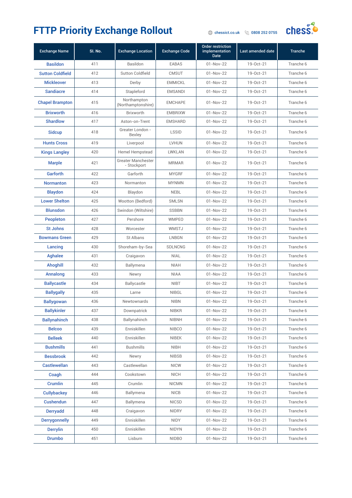

| <b>Exchange Name</b>    | SI. No. | <b>Exchange Location</b>          | <b>Exchange Code</b> | <b>Order restriction</b><br>implementation<br><b>Date</b> | Last amended date | <b>Tranche</b> |
|-------------------------|---------|-----------------------------------|----------------------|-----------------------------------------------------------|-------------------|----------------|
| <b>Basildon</b>         | 411     | Basildon                          | <b>EABAS</b>         | $01 - Nov-22$                                             | 19-Oct-21         | Tranche 6      |
| <b>Sutton Coldfield</b> | 412     | Sutton Coldfield                  | <b>CMSUT</b>         | $01 - Nov-22$                                             | 19-Oct-21         | Tranche 6      |
| <b>Mickleover</b>       | 413     | Derby                             | <b>EMMICKL</b>       | $01 - Nov-22$                                             | 19-Oct-21         | Tranche 6      |
| <b>Sandiacre</b>        | 414     | Stapleford                        | <b>EMSANDI</b>       | $01 - Nov-22$                                             | 19-Oct-21         | Tranche 6      |
| <b>Chapel Brampton</b>  | 415     | Northampton<br>(Northamptonshire) | <b>EMCHAPE</b>       | $01 - Nov-22$                                             | 19-Oct-21         | Tranche 6      |
| <b>Brixworth</b>        | 416     | <b>Brixworth</b>                  | <b>EMBRIXW</b>       | $01 - Nov-22$                                             | $19 - Oct - 21$   | Tranche 6      |
| <b>Shardlow</b>         | 417     | Aston-on-Trent                    | <b>EMSHARD</b>       | $01 - Nov-22$                                             | 19-Oct-21         | Tranche 6      |
| <b>Sidcup</b>           | 418     | Greater London -<br><b>Bexley</b> | <b>LSSID</b>         | $01 - Nov-22$                                             | 19-Oct-21         | Tranche 6      |
| <b>Hunts Cross</b>      | 419     | Liverpool                         | <b>LVHUN</b>         | $01 - Nov-22$                                             | 19-Oct-21         | Tranche 6      |
| <b>Kings Langley</b>    | 420     | <b>Hemel Hempstead</b>            | <b>LWKLAN</b>        | $01 - Nov-22$                                             | 19-Oct-21         | Tranche 6      |
| <b>Marple</b>           | 421     | Greater Manchester<br>- Stockport | <b>MRMAR</b>         | $01 - Nov-22$                                             | 19-Oct-21         | Tranche 6      |
| Garforth                | 422     | Garforth                          | <b>MYGRF</b>         | $01 - Nov-22$                                             | 19-Oct-21         | Tranche 6      |
| <b>Normanton</b>        | 423     | Normanton                         | <b>MYNMN</b>         | $01 - Nov-22$                                             | 19-Oct-21         | Tranche 6      |
| <b>Blaydon</b>          | 424     | Blaydon                           | <b>NEBL</b>          | $01 - Nov-22$                                             | 19-Oct-21         | Tranche 6      |
| <b>Lower Shelton</b>    | 425     | Wootton (Bedford)                 | <b>SMLSN</b>         | $01 - Nov-22$                                             | 19-Oct-21         | Tranche 6      |
| <b>Blunsdon</b>         | 426     | Swindon (Wiltshire)               | <b>SSBBN</b>         | $01 - Nov-22$                                             | 19-Oct-21         | Tranche 6      |
| <b>Peopleton</b>        | 427     | Pershore                          | <b>WMPEO</b>         | $01 - Nov-22$                                             | 19-Oct-21         | Tranche 6      |
| <b>St Johns</b>         | 428     | Worcester                         | WMSTJ                | $01 - Nov-22$                                             | 19-Oct-21         | Tranche 6      |
| <b>Bowmans Green</b>    | 429     | St Albans                         | <b>LNBGN</b>         | $01 - Nov-22$                                             | 19-Oct-21         | Tranche 6      |
| Lancing                 | 430     | Shoreham-by-Sea                   | <b>SDLNCNG</b>       | 01-Nov-22                                                 | 19-Oct-21         | Tranche 6      |
| <b>Aghalee</b>          | 431     | Craigavon                         | <b>NIAL</b>          | 01-Nov-22                                                 | 19-Oct-21         | Tranche 6      |
| <b>Ahoghill</b>         | 432     | Ballymena                         | <b>NIAH</b>          | $01 - Nov-22$                                             | 19-Oct-21         | Tranche 6      |
| Annalong                | 433     | Newry                             | <b>NIAA</b>          | $01 - Nov-22$                                             | 19-Oct-21         | Tranche 6      |
| <b>Ballycastle</b>      | 434     | Ballycastle                       | <b>NIBT</b>          | $01 - Nov-22$                                             | 19-Oct-21         | Tranche 6      |
| <b>Ballygally</b>       | 435     | Larne                             | <b>NIBGL</b>         | $01 - Nov-22$                                             | 19-Oct-21         | Tranche 6      |
| <b>Ballygowan</b>       | 436     | <b>Newtownards</b>                | <b>NIBN</b>          | $01 - Nov-22$                                             | 19-Oct-21         | Tranche 6      |
| <b>Ballykinler</b>      | 437     | Downpatrick                       | <b>NIBKR</b>         | $01-Nov-22$                                               | 19-Oct-21         | Tranche 6      |
| <b>Ballynahinch</b>     | 438     | Ballynahinch                      | <b>NIBNH</b>         | $01-Nov-22$                                               | 19-Oct-21         | Tranche 6      |
| <b>Belcoo</b>           | 439     | Enniskillen                       | <b>NIBCO</b>         | $01-Nov-22$                                               | 19-Oct-21         | Tranche 6      |
| <b>Belleek</b>          | 440     | Enniskillen                       | <b>NIBEK</b>         | $01-Nov-22$                                               | 19-Oct-21         | Tranche 6      |
| <b>Bushmills</b>        | 441     | <b>Bushmills</b>                  | <b>NIBH</b>          | $01 - Nov - 22$                                           | 19-Oct-21         | Tranche 6      |
| <b>Bessbrook</b>        | 442     | Newry                             | <b>NIBSB</b>         | $01-Nov-22$                                               | 19-Oct-21         | Tranche 6      |
| <b>Castlewellan</b>     | 443     | Castlewellan                      | <b>NICW</b>          | $01 - Nov-22$                                             | 19-Oct-21         | Tranche 6      |
| Coagh                   | 444     | Cookstown                         | <b>NICH</b>          | $01-Nov-22$                                               | 19-Oct-21         | Tranche 6      |
| Crumlin                 | 445     | Crumlin                           | <b>NICMN</b>         | $01 - Nov-22$                                             | 19-Oct-21         | Tranche 6      |
| <b>Cullybackey</b>      | 446     | Ballymena                         | <b>NICB</b>          | $01 - Nov-22$                                             | 19-Oct-21         | Tranche 6      |
| <b>Cushendun</b>        | 447     | Ballymena                         | <b>NICSD</b>         | $01-Nov-22$                                               | 19-Oct-21         | Tranche 6      |
| <b>Derryadd</b>         | 448     | Craigavon                         | <b>NIDRY</b>         | $01-Nov-22$                                               | 19-Oct-21         | Tranche 6      |
| <b>Derrygonnelly</b>    | 449     | Enniskillen                       | <b>NIDY</b>          | $01-Nov-22$                                               | 19-Oct-21         | Tranche 6      |
| <b>Derrylin</b>         | 450     | Enniskillen                       | <b>NIDYN</b>         | $01-Nov-22$                                               | 19-Oct-21         | Tranche 6      |
| <b>Drumbo</b>           | 451     | Lisburn                           | <b>NIDBO</b>         | $01-Nov-22$                                               | 19-Oct-21         | Tranche 6      |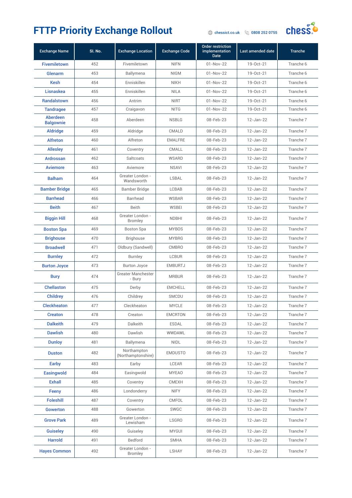

| <b>Exchange Name</b>         | SI. No. | <b>Exchange Location</b>           | <b>Exchange Code</b> | <b>Order restriction</b><br>implementation<br><b>Date</b> | Last amended date | <b>Tranche</b> |
|------------------------------|---------|------------------------------------|----------------------|-----------------------------------------------------------|-------------------|----------------|
| <b>Fivemiletown</b>          | 452     | Fivemiletown                       | <b>NIFN</b>          | $01 - Nov-22$                                             | 19-Oct-21         | Tranche 6      |
| Glenarm                      | 453     | Ballymena                          | <b>NIGM</b>          | $01 - Nov-22$                                             | 19-Oct-21         | Tranche 6      |
| <b>Kesh</b>                  | 454     | Enniskillen                        | <b>NIKH</b>          | $01 - Nov-22$                                             | 19-Oct-21         | Tranche 6      |
| Lisnaskea                    | 455     | Enniskillen                        | <b>NILA</b>          | $01 - Nov-22$                                             | 19-Oct-21         | Tranche 6      |
| <b>Randalstown</b>           | 456     | Antrim                             | <b>NIRT</b>          | $01 - Nov-22$                                             | 19-Oct-21         | Tranche 6      |
| <b>Tandragee</b>             | 457     | Craigavon                          | <b>NITG</b>          | $01 - Nov-22$                                             | 19-Oct-21         | Tranche 6      |
| Aberdeen<br><b>Balgownie</b> | 458     | Aberdeen                           | <b>NSBLG</b>         | 08-Feb-23                                                 | 12-Jan-22         | Tranche 7      |
| <b>Aldridge</b>              | 459     | Aldridge                           | CMALD                | 08-Feb-23                                                 | 12-Jan-22         | Tranche 7      |
| <b>Alfreton</b>              | 460     | Alfreton                           | <b>EMALFRE</b>       | 08-Feb-23                                                 | 12-Jan-22         | Tranche 7      |
| <b>Allesley</b>              | 461     | Coventry                           | CMALL                | 08-Feb-23                                                 | 12-Jan-22         | Tranche 7      |
| <b>Ardrossan</b>             | 462     | Saltcoats                          | <b>WSARD</b>         | 08-Feb-23                                                 | 12-Jan-22         | Tranche 7      |
| <b>Aviemore</b>              | 463     | Aviemore                           | <b>NSAVI</b>         | 08-Feb-23                                                 | 12-Jan-22         | Tranche 7      |
| <b>Balham</b>                | 464     | Greater London -<br>Wandsworth     | <b>LSBAL</b>         | 08-Feb-23                                                 | 12-Jan-22         | Tranche 7      |
| <b>Bamber Bridge</b>         | 465     | Bamber Bridge                      | <b>LCBAB</b>         | 08-Feb-23                                                 | 12-Jan-22         | Tranche 7      |
| <b>Barrhead</b>              | 466     | <b>Barrhead</b>                    | <b>WSBAR</b>         | 08-Feb-23                                                 | 12-Jan-22         | Tranche 7      |
| <b>Beith</b>                 | 467     | Beith                              | <b>WSBEI</b>         | 08-Feb-23                                                 | 12-Jan-22         | Tranche 7      |
| <b>Biggin Hill</b>           | 468     | Greater London -<br><b>Bromley</b> | <b>NDBHI</b>         | 08-Feb-23                                                 | 12-Jan-22         | Tranche 7      |
| <b>Boston Spa</b>            | 469     | <b>Boston Spa</b>                  | <b>MYBOS</b>         | 08-Feb-23                                                 | 12-Jan-22         | Tranche 7      |
| <b>Brighouse</b>             | 470     | <b>Brighouse</b>                   | <b>MYBRG</b>         | 08-Feb-23                                                 | 12-Jan-22         | Tranche 7      |
| <b>Broadwell</b>             | 471     | Oldbury (Sandwell)                 | <b>CMBRO</b>         | 08-Feb-23                                                 | 12-Jan-22         | Tranche 7      |
| <b>Burnley</b>               | 472     | <b>Burnley</b>                     | <b>LCBUR</b>         | 08-Feb-23                                                 | 12-Jan-22         | Tranche 7      |
| <b>Burton Joyce</b>          | 473     | <b>Burton Joyce</b>                | <b>EMBURTJ</b>       | 08-Feb-23                                                 | 12-Jan-22         | Tranche 7      |
| <b>Bury</b>                  | 474     | Greater Manchester<br>- Bury       | <b>MRBUR</b>         | 08-Feb-23                                                 | 12-Jan-22         | Tranche 7      |
| <b>Chellaston</b>            | 475     | Derby                              | <b>EMCHELL</b>       | 08-Feb-23                                                 | 12-Jan-22         | Tranche 7      |
| <b>Childrey</b>              | 476     | Childrey                           | SMCDU                | 08-Feb-23                                                 | 12-Jan-22         | Tranche 7      |
| <b>Cleckheaton</b>           | 477     | Cleckheaton                        | <b>MYCLE</b>         | 08-Feb-23                                                 | 12-Jan-22         | Tranche 7      |
| <b>Creaton</b>               | 478     | Creaton                            | <b>EMCRTON</b>       | 08-Feb-23                                                 | 12-Jan-22         | Tranche 7      |
| <b>Dalkeith</b>              | 479     | Dalkeith                           | <b>ESDAL</b>         | 08-Feb-23                                                 | 12-Jan-22         | Tranche 7      |
| <b>Dawlish</b>               | 480     | Dawlish                            | WWDAWL               | 08-Feb-23                                                 | 12-Jan-22         | Tranche 7      |
| <b>Dunloy</b>                | 481     | Ballymena                          | <b>NIDL</b>          | 08-Feb-23                                                 | 12-Jan-22         | Tranche 7      |
| <b>Duston</b>                | 482     | Northampton<br>(Northamptonshire)  | <b>EMDUSTO</b>       | 08-Feb-23                                                 | 12-Jan-22         | Tranche 7      |
| Earby                        | 483     | Earby                              | LCEAR                | 08-Feb-23                                                 | 12-Jan-22         | Tranche 7      |
| <b>Easingwold</b>            | 484     | Easingwold                         | <b>MYEAO</b>         | 08-Feb-23                                                 | 12-Jan-22         | Tranche 7      |
| <b>Exhall</b>                | 485     | Coventry                           | <b>CMEXH</b>         | 08-Feb-23                                                 | 12-Jan-22         | Tranche 7      |
| Feeny                        | 486     | Londonderry                        | <b>NIFY</b>          | 08-Feb-23                                                 | 12-Jan-22         | Tranche 7      |
| <b>Foleshill</b>             | 487     | Coventry                           | CMFOL                | 08-Feb-23                                                 | 12-Jan-22         | Tranche 7      |
| <b>Gowerton</b>              | 488     | Gowerton                           | SWGC                 | 08-Feb-23                                                 | 12-Jan-22         | Tranche 7      |
| <b>Grove Park</b>            | 489     | Greater London -<br>Lewisham       | <b>LSGRO</b>         | 08-Feb-23                                                 | 12-Jan-22         | Tranche 7      |
| <b>Guiseley</b>              | 490     | Guiseley                           | <b>MYGUI</b>         | 08-Feb-23                                                 | 12-Jan-22         | Tranche 7      |
| <b>Harrold</b>               | 491     | Bedford                            | SMHA                 | 08-Feb-23                                                 | 12-Jan-22         | Tranche 7      |
| <b>Hayes Common</b>          | 492     | Greater London -<br><b>Bromley</b> | LSHAY                | 08-Feb-23                                                 | 12-Jan-22         | Tranche 7      |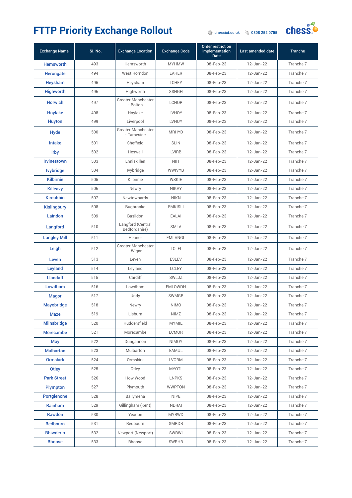

| <b>Exchange Name</b> | SI. No. | <b>Exchange Location</b>           | <b>Exchange Code</b> | <b>Order restriction</b><br>implementation<br><b>Date</b> | Last amended date | <b>Tranche</b> |
|----------------------|---------|------------------------------------|----------------------|-----------------------------------------------------------|-------------------|----------------|
| <b>Hemsworth</b>     | 493     | Hemsworth                          | <b>MYHMW</b>         | 08-Feb-23                                                 | 12-Jan-22         | Tranche 7      |
| <b>Herongate</b>     | 494     | West Horndon                       | <b>EAHER</b>         | 08-Feb-23                                                 | 12-Jan-22         | Tranche 7      |
| Heysham              | 495     | Heysham                            | <b>LCHEY</b>         | 08-Feb-23                                                 | 12-Jan-22         | Tranche 7      |
| <b>Highworth</b>     | 496     | Highworth                          | <b>SSHGH</b>         | 08-Feb-23                                                 | 12-Jan-22         | Tranche 7      |
| <b>Horwich</b>       | 497     | Greater Manchester<br>- Bolton     | <b>LCHOR</b>         | 08-Feb-23                                                 | 12-Jan-22         | Tranche 7      |
| <b>Hoylake</b>       | 498     | Hoylake                            | LVHOY                | 08-Feb-23                                                 | 12-Jan-22         | Tranche 7      |
| <b>Huyton</b>        | 499     | Liverpool                          | <b>LVHUY</b>         | 08-Feb-23                                                 | 12-Jan-22         | Tranche 7      |
| Hyde                 | 500     | Greater Manchester<br>- Tameside   | <b>MRHYD</b>         | 08-Feb-23                                                 | 12-Jan-22         | Tranche 7      |
| <b>Intake</b>        | 501     | Sheffield                          | <b>SLIN</b>          | 08-Feb-23                                                 | 12-Jan-22         | Tranche 7      |
| Irby                 | 502     | Heswall                            | <b>LVIRB</b>         | 08-Feb-23                                                 | 12-Jan-22         | Tranche 7      |
| <b>Irvinestown</b>   | 503     | Enniskillen                        | <b>NIIT</b>          | 08-Feb-23                                                 | 12-Jan-22         | Tranche 7      |
| <b>Ivybridge</b>     | 504     | Ivybridge                          | <b>WWIVYB</b>        | 08-Feb-23                                                 | 12-Jan-22         | Tranche 7      |
| <b>Kilbirnie</b>     | 505     | Kilbirnie                          | <b>WSKIE</b>         | 08-Feb-23                                                 | 12-Jan-22         | Tranche 7      |
| <b>Killeavy</b>      | 506     | Newry                              | <b>NIKVY</b>         | 08-Feb-23                                                 | $12 - Jan-22$     | Tranche 7      |
| <b>Kircubbin</b>     | 507     | Newtownards                        | <b>NIKN</b>          | 08-Feb-23                                                 | 12-Jan-22         | Tranche 7      |
| <b>Kislingbury</b>   | 508     | Bugbrooke                          | <b>EMKISLI</b>       | 08-Feb-23                                                 | 12-Jan-22         | Tranche 7      |
| Laindon              | 509     | Basildon                           | <b>EALAI</b>         | 08-Feb-23                                                 | 12-Jan-22         | Tranche 7      |
| Langford             | 510     | Langford (Central<br>Bedfordshire) | <b>SMLA</b>          | 08-Feb-23                                                 | 12-Jan-22         | Tranche 7      |
| <b>Langley Mill</b>  | 511     | Heanor                             | <b>EMLANGL</b>       | 08-Feb-23                                                 | 12-Jan-22         | Tranche 7      |
| Leigh                | 512     | Greater Manchester<br>- Wigan      | <b>LCLEI</b>         | 08-Feb-23                                                 | 12-Jan-22         | Tranche 7      |
| Leven                | 513     | Leven                              | <b>ESLEV</b>         | 08-Feb-23                                                 | 12-Jan-22         | Tranche 7      |
| Leyland              | 514     | Leyland                            | <b>LCLEY</b>         | 08-Feb-23                                                 | 12-Jan-22         | Tranche 7      |
| <b>Llandaff</b>      | 515     | Cardiff                            | SWLJZ                | 08-Feb-23                                                 | 12-Jan-22         | Tranche 7      |
| Lowdham              | 516     | Lowdham                            | <b>EMLOWDH</b>       | 08-Feb-23                                                 | 12-Jan-22         | Tranche 7      |
| <b>Magor</b>         | 517     | Undy                               | SWMGR                | 08-Feb-23                                                 | 12-Jan-22         | Tranche 7      |
| <b>Mayobridge</b>    | 518     | Newry                              | <b>NIMO</b>          | 08-Feb-23                                                 | 12-Jan-22         | Tranche 7      |
| Maze                 | 519     | Lisburn                            | NIMZ                 | 08-Feb-23                                                 | 12-Jan-22         | Tranche 7      |
| <b>Milnsbridge</b>   | 520     | Huddersfield                       | <b>MYMIL</b>         | 08-Feb-23                                                 | 12-Jan-22         | Tranche 7      |
| <b>Morecambe</b>     | 521     | Morecambe                          | LCMOR                | 08-Feb-23                                                 | 12-Jan-22         | Tranche 7      |
| <b>Moy</b>           | 522     | Dungannon                          | NIMOY                | 08-Feb-23                                                 | 12-Jan-22         | Tranche 7      |
| <b>Mulbarton</b>     | 523     | Mulbarton                          | EAMUL                | 08-Feb-23                                                 | 12-Jan-22         | Tranche 7      |
| <b>Ormskirk</b>      | 524     | Ormskirk                           | <b>LVORM</b>         | 08-Feb-23                                                 | 12-Jan-22         | Tranche 7      |
| Otley                | 525     | Otley                              | <b>MYOTL</b>         | 08-Feb-23                                                 | 12-Jan-22         | Tranche 7      |
| <b>Park Street</b>   | 526     | How Wood                           | <b>LNPKS</b>         | 08-Feb-23                                                 | 12-Jan-22         | Tranche 7      |
| Plympton             | 527     | Plymouth                           | <b>WWPTON</b>        | 08-Feb-23                                                 | 12-Jan-22         | Tranche 7      |
| <b>Portglenone</b>   | 528     | Ballymena                          | <b>NIPE</b>          | 08-Feb-23                                                 | 12-Jan-22         | Tranche 7      |
| Rainham              | 529     | Gillingham (Kent)                  | <b>NDRAI</b>         | 08-Feb-23                                                 | 12-Jan-22         | Tranche 7      |
| <b>Rawdon</b>        | 530     | Yeadon                             | <b>MYRWD</b>         | 08-Feb-23                                                 | 12-Jan-22         | Tranche 7      |
| Redbourn             | 531     | Redbourn                           | <b>SMRDB</b>         | 08-Feb-23                                                 | 12-Jan-22         | Tranche 7      |
| <b>Rhiwderin</b>     | 532     | Newport (Newport)                  | SWRWI                | 08-Feb-23                                                 | 12-Jan-22         | Tranche 7      |
| <b>Rhoose</b>        | 533     | Rhoose                             | <b>SWRHR</b>         | 08-Feb-23                                                 | 12-Jan-22         | Tranche 7      |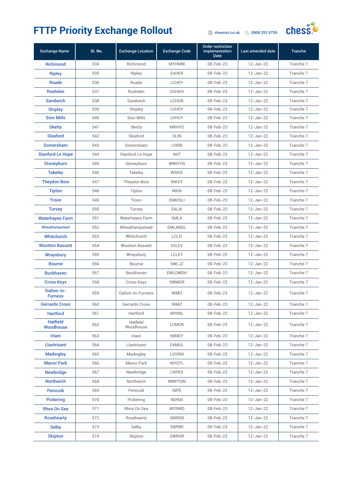

| <b>Exchange Name</b>         | SI. No. | <b>Exchange Location</b> | <b>Exchange Code</b> | <b>Order restriction</b><br>implementation<br><b>Date</b> | Last amended date | <b>Tranche</b> |
|------------------------------|---------|--------------------------|----------------------|-----------------------------------------------------------|-------------------|----------------|
| <b>Richmond</b>              | 534     | Richmond                 | <b>MYHMW</b>         | 08-Feb-23                                                 | 12-Jan-22         | Tranche 7      |
| <b>Ripley</b>                | 535     | Ripley                   | <b>EAHER</b>         | 08-Feb-23                                                 | 12-Jan-22         | Tranche 7      |
| Roade                        | 536     | Roade                    | <b>LCHEY</b>         | 08-Feb-23                                                 | 12-Jan-22         | Tranche 7      |
| <b>Rushden</b>               | 537     | Rushden                  | <b>SSHGH</b>         | 08-Feb-23                                                 | 12-Jan-22         | Tranche 7      |
| <b>Sandwich</b>              | 538     | Sandwich                 | <b>LCHOR</b>         | 08-Feb-23                                                 | 12-Jan-22         | Tranche 7      |
| <b>Shipley</b>               | 539     | Shipley                  | LVHOY                | 08-Feb-23                                                 | 12-Jan-22         | Tranche 7      |
| <b>Sion Mills</b>            | 540     | Sion Mills               | <b>LVHUY</b>         | 08-Feb-23                                                 | 12-Jan-22         | Tranche 7      |
| <b>Sketty</b>                | 541     | Sketty                   | <b>MRHYD</b>         | 08-Feb-23                                                 | 12-Jan-22         | Tranche 7      |
| <b>Sleaford</b>              | 542     | Sleaford                 | <b>SLIN</b>          | 08-Feb-23                                                 | 12-Jan-22         | Tranche 7      |
| <b>Somersham</b>             | 543     | Somersham                | <b>LVIRB</b>         | 08-Feb-23                                                 | 12-Jan-22         | Tranche 7      |
| <b>Stanford Le Hope</b>      | 544     | Stanford Le Hope         | NIIT                 | 08-Feb-23                                                 | 12-Jan-22         | Tranche 7      |
| Stoneyburn                   | 545     | Stoneyburn               | <b>WWIVYB</b>        | 08-Feb-23                                                 | 12-Jan-22         | Tranche 7      |
| <b>Takeley</b>               | 546     | Takeley                  | <b>WSKIE</b>         | 08-Feb-23                                                 | 12-Jan-22         | Tranche 7      |
| <b>Theydon Bois</b>          | 547     | Theydon Bois             | <b>NIKVY</b>         | 08-Feb-23                                                 | 12-Jan-22         | Tranche 7      |
| <b>Tipton</b>                | 548     | Tipton                   | <b>NIKN</b>          | 08-Feb-23                                                 | 12-Jan-22         | Tranche 7      |
| <b>Troon</b>                 | 549     | Troon                    | <b>EMKISLI</b>       | 08-Feb-23                                                 | $12 - Jan-22$     | Tranche 7      |
| <b>Turvey</b>                | 550     | Turvey                   | <b>EALAI</b>         | 08-Feb-23                                                 | 12-Jan-22         | Tranche 7      |
| <b>Waterhayes Farm</b>       | 551     | Waterhayes Farm          | <b>SMLA</b>          | 08-Feb-23                                                 | 12-Jan-22         | Tranche 7      |
| Wheathampstead               | 552     | Wheathampstead           | <b>EMLANGL</b>       | 08-Feb-23                                                 | 12-Jan-22         | Tranche 7      |
| Whitchurch                   | 553     | Whitchurch               | <b>LCLEI</b>         | 08-Feb-23                                                 | 12-Jan-22         | Tranche 7      |
| <b>Wootton Bassett</b>       | 554     | <b>Wootton Bassett</b>   | <b>ESLEV</b>         | 08-Feb-23                                                 | 12-Jan-22         | Tranche 7      |
| <b>Wraysbury</b>             | 555     | Wraysbury                | <b>LCLEY</b>         | 08-Feb-23                                                 | 12-Jan-22         | Tranche 7      |
| <b>Bourne</b>                | 556     | Bourne                   | SWLJZ                | 08-Feb-23                                                 | 12-Jan-22         | Tranche 7      |
| <b>Buckhaven</b>             | 557     | Buckhaven                | <b>EMLOWDH</b>       | 08-Feb-23                                                 | 12-Jan-22         | Tranche 7      |
| <b>Cross Keys</b>            | 558     | Cross Keys               | <b>SWMGR</b>         | 08-Feb-23                                                 | 12-Jan-22         | Tranche 7      |
| Dalton-In-<br><b>Furness</b> | 559     | Dalton-In-Furness        | <b>NIMO</b>          | 08-Feb-23                                                 | 12-Jan-22         | Tranche 7      |
| <b>Gerrards Cross</b>        | 560     | Gerrards Cross           | <b>NIMZ</b>          | 08-Feb-23                                                 | 12-Jan-22         | Tranche 7      |
| <b>Hartford</b>              | 561     | Hartford                 | <b>MYMIL</b>         | 08-Feb-23                                                 | 12-Jan-22         | Tranche 7      |
| <b>Hatfield</b><br>Woodhouse | 562     | Hatfield<br>Woodhouse    | <b>LCMOR</b>         | 08-Feb-23                                                 | 12-Jan-22         | Tranche 7      |
| Irlam                        | 563     | Irlam                    | <b>NIMOY</b>         | 08-Feb-23                                                 | 12-Jan-22         | Tranche 7      |
| <b>Llantrisant</b>           | 564     | Llantrisant              | EAMUL                | 08-Feb-23                                                 | 12-Jan-22         | Tranche 7      |
| <b>Madingley</b>             | 565     | Madingley                | <b>LVORM</b>         | 08-Feb-23                                                 | 12-Jan-22         | Tranche 7      |
| <b>Manor Park</b>            | 566     | Manor Park               | <b>MYOTL</b>         | 08-Feb-23                                                 | 12-Jan-22         | Tranche 7      |
| <b>Newbridge</b>             | 567     | Newbridge                | <b>LNPKS</b>         | 08-Feb-23                                                 | 12-Jan-22         | Tranche 7      |
| <b>Northwich</b>             | 568     | Northwich                | <b>WWPTON</b>        | 08-Feb-23                                                 | 12-Jan-22         | Tranche 7      |
| <b>Penicuik</b>              | 569     | Penicuik                 | <b>NIPE</b>          | 08-Feb-23                                                 | 12-Jan-22         | Tranche 7      |
| <b>Pickering</b>             | 570     | Pickering                | <b>NDRAI</b>         | 08-Feb-23                                                 | 12-Jan-22         | Tranche 7      |
| <b>Rhos On Sea</b>           | 571     | Rhos On Sea              | <b>MYRWD</b>         | 08-Feb-23                                                 | 12-Jan-22         | Tranche 7      |
| <b>Rosehearty</b>            | 572     | Rosehearty               | SMRDB                | 08-Feb-23                                                 | 12-Jan-22         | Tranche 7      |
| <b>Selby</b>                 | 573     | Selby                    | <b>SWRWI</b>         | 08-Feb-23                                                 | 12-Jan-22         | Tranche 7      |
| <b>Skipton</b>               | 574     | Skipton                  | <b>SWRHR</b>         | 08-Feb-23                                                 | 12-Jan-22         | Tranche 7      |